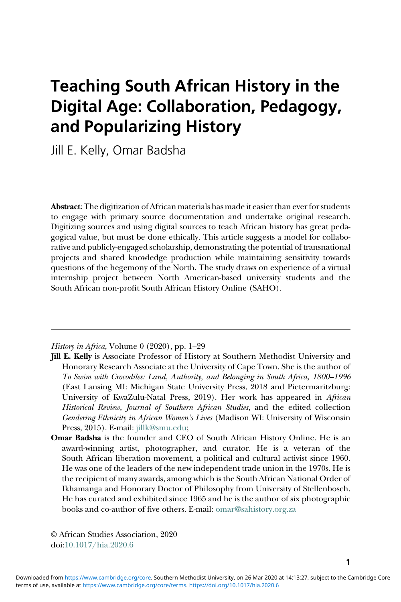# Teaching South African History in the Digital Age: Collaboration, Pedagogy, and Popularizing History

Jill E. Kelly, Omar Badsha

Abstract: The digitization of African materials has made it easier than ever for students to engage with primary source documentation and undertake original research. Digitizing sources and using digital sources to teach African history has great pedagogical value, but must be done ethically. This article suggests a model for collaborative and publicly-engaged scholarship, demonstrating the potential of transnational projects and shared knowledge production while maintaining sensitivity towards questions of the hegemony of the North. The study draws on experience of a virtual internship project between North American-based university students and the South African non-profit South African History Online (SAHO).

History in Africa, Volume 0 (2020), pp. 1–29

- Jill E. Kelly is Associate Professor of History at Southern Methodist University and Honorary Research Associate at the University of Cape Town. She is the author of To Swim with Crocodiles: Land, Authority, and Belonging in South Africa, 1800–1996 (East Lansing MI: Michigan State University Press, 2018 and Pietermaritzburg: University of KwaZulu-Natal Press, 2019). Her work has appeared in African Historical Review, Journal of Southern African Studies, and the edited collection Gendering Ethnicity in African Women's Lives (Madison WI: University of Wisconsin Press, 2015). E-mail: [jillk@smu.edu](mailto:jillk@smu.edu);
- Omar Badsha is the founder and CEO of South African History Online. He is an award-winning artist, photographer, and curator. He is a veteran of the South African liberation movement, a political and cultural activist since 1960. He was one of the leaders of the new independent trade union in the 1970s. He is the recipient of many awards, among which is the South African National Order of Ikhamanga and Honorary Doctor of Philosophy from University of Stellenbosch. He has curated and exhibited since 1965 and he is the author of six photographic books and co-author of five others. E-mail: [omar@sahistory.org.za](mailto:omar@sahistory.org.za)

© African Studies Association, 2020 doi:[10.1017/hia.2020.6](https://doi.org/10.1017/hia.2020.6)

1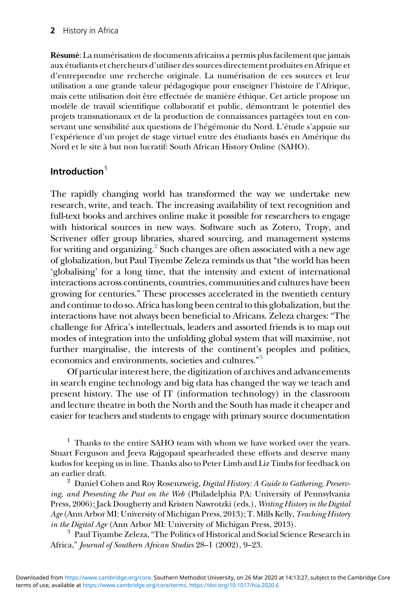Résumé: La numérisation de documents africains a permis plus facilement que jamais aux étudiants et chercheurs d'utiliser des sources directement produites en Afrique et d'entreprendre une recherche originale. La numérisation de ces sources et leur utilisation a une grande valeur pédagogique pour enseigner l'histoire de l'Afrique, mais cette utilisation doit être effectuée de manière éthique. Cet article propose un modèle de travail scientifique collaboratif et public, démontrant le potentiel des projets transnationaux et de la production de connaissances partagées tout en conservant une sensibilité aux questions de l'hégémonie du Nord. L'étude s'appuie sur l'expérience d'un projet de stage virtuel entre des étudiants basés en Amérique du Nord et le site à but non lucratif: South African History Online (SAHO).

#### Introduction $1$

The rapidly changing world has transformed the way we undertake new research, write, and teach. The increasing availability of text recognition and full-text books and archives online make it possible for researchers to engage with historical sources in new ways. Software such as Zotero, Tropy, and Scrivener offer group libraries, shared sourcing, and management systems for writing and organizing.<sup>2</sup> Such changes are often associated with a new age of globalization, but Paul Tiyembe Zeleza reminds us that "the world has been 'globalising' for a long time, that the intensity and extent of international interactions across continents, countries, communities and cultures have been growing for centuries." These processes accelerated in the twentieth century and continue to do so. Africa has long been central to this globalization, but the interactions have not always been beneficial to Africans. Zeleza charges: "The challenge for Africa's intellectuals, leaders and assorted friends is to map out modes of integration into the unfolding global system that will maximise, not further marginalise, the interests of the continent's peoples and polities, economics and environments, societies and cultures." [3](#page-1-2)

Of particular interest here, the digitization of archives and advancements in search engine technology and big data has changed the way we teach and present history. The use of IT (information technology) in the classroom and lecture theatre in both the North and the South has made it cheaper and easier for teachers and students to engage with primary source documentation

<span id="page-1-0"></span> $1$  Thanks to the entire SAHO team with whom we have worked over the years. Stuart Ferguson and Jeeva Rajgopaul spearheaded these efforts and deserve many kudos for keeping us in line. Thanks also to Peter Limb and Liz Timbs for feedback on an earlier draft.<br><sup>2</sup> Daniel Cohen and Roy Rosenzweig, *Digital History: A Guide to Gathering, Preserv-*

<span id="page-1-1"></span>ing, and Presenting the Past on the Web (Philadelphia PA: University of Pennsylvania Press, 2006); Jack Dougherty and Kristen Nawrotzki (eds.), Writing History in the Digital Age (Ann Arbor MI: University of Michigan Press, 2013); T. Mills Kelly, Teaching History *in the Digital Age* (Ann Arbor MI: University of Michigan Press, 2013).<br><sup>3</sup> Paul Tiyambe Zeleza, "The Politics of Historical and Social Science Research in

<span id="page-1-2"></span>Africa," Journal of Southern African Studies 28–1 (2002), 9–23.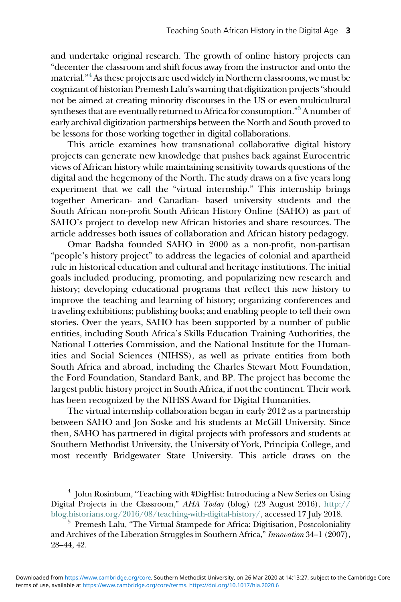and undertake original research. The growth of online history projects can "decenter the classroom and shift focus away from the instructor and onto the material." [4](#page-2-0)As these projects are used widely in Northern classrooms, we must be cognizant of historian Premesh Lalu's warning that digitization projects"should not be aimed at creating minority discourses in the US or even multicultural syntheses that are eventually returned to Africa for consumption." [5](#page-2-1)A number of early archival digitization partnerships between the North and South proved to be lessons for those working together in digital collaborations.

This article examines how transnational collaborative digital history projects can generate new knowledge that pushes back against Eurocentric views of African history while maintaining sensitivity towards questions of the digital and the hegemony of the North. The study draws on a five years long experiment that we call the "virtual internship." This internship brings together American- and Canadian- based university students and the South African non-profit South African History Online (SAHO) as part of SAHO's project to develop new African histories and share resources. The article addresses both issues of collaboration and African history pedagogy.

Omar Badsha founded SAHO in 2000 as a non-profit, non-partisan "people's history project" to address the legacies of colonial and apartheid rule in historical education and cultural and heritage institutions. The initial goals included producing, promoting, and popularizing new research and history; developing educational programs that reflect this new history to improve the teaching and learning of history; organizing conferences and traveling exhibitions; publishing books; and enabling people to tell their own stories. Over the years, SAHO has been supported by a number of public entities, including South Africa's Skills Education Training Authorities, the National Lotteries Commission, and the National Institute for the Humanities and Social Sciences (NIHSS), as well as private entities from both South Africa and abroad, including the Charles Stewart Mott Foundation, the Ford Foundation, Standard Bank, and BP. The project has become the largest public history project in South Africa, if not the continent. Their work has been recognized by the NIHSS Award for Digital Humanities.

The virtual internship collaboration began in early 2012 as a partnership between SAHO and Jon Soske and his students at McGill University. Since then, SAHO has partnered in digital projects with professors and students at Southern Methodist University, the University of York, Principia College, and most recently Bridgewater State University. This article draws on the

<span id="page-2-0"></span><sup>4</sup> John Rosinbum, "Teaching with #DigHist: Introducing a New Series on Using Digital Projects in the Classroom," AHA Today (blog) (23 August 2016), [http://](http://blog.historians.org/2016/08/teaching-with-digital-history/) [blog.historians.org/2016/08/teaching-with-digital-history/,](http://blog.historians.org/2016/08/teaching-with-digital-history/) accessed 17 July 2018. <sup>5</sup> Premesh Lalu, "The Virtual Stampede for Africa: Digitisation, Postcoloniality

<span id="page-2-1"></span>and Archives of the Liberation Struggles in Southern Africa," Innovation 34–1 (2007), 28–44, 42.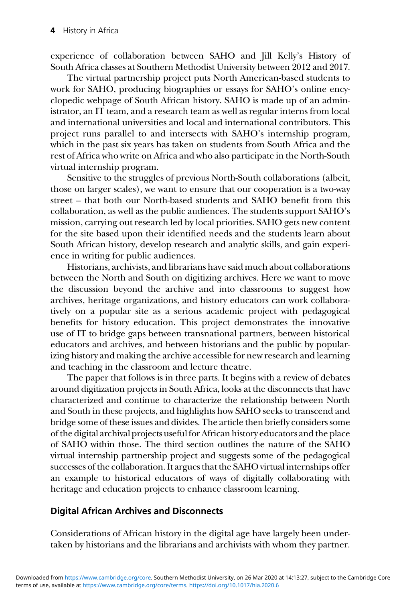experience of collaboration between SAHO and Jill Kelly's History of South Africa classes at Southern Methodist University between 2012 and 2017.

The virtual partnership project puts North American-based students to work for SAHO, producing biographies or essays for SAHO's online encyclopedic webpage of South African history. SAHO is made up of an administrator, an IT team, and a research team as well as regular interns from local and international universities and local and international contributors. This project runs parallel to and intersects with SAHO's internship program, which in the past six years has taken on students from South Africa and the rest of Africa who write on Africa and who also participate in the North-South virtual internship program.

Sensitive to the struggles of previous North-South collaborations (albeit, those on larger scales), we want to ensure that our cooperation is a two-way street – that both our North-based students and SAHO benefit from this collaboration, as well as the public audiences. The students support SAHO's mission, carrying out research led by local priorities. SAHO gets new content for the site based upon their identified needs and the students learn about South African history, develop research and analytic skills, and gain experience in writing for public audiences.

Historians, archivists, and librarians have said much about collaborations between the North and South on digitizing archives. Here we want to move the discussion beyond the archive and into classrooms to suggest how archives, heritage organizations, and history educators can work collaboratively on a popular site as a serious academic project with pedagogical benefits for history education. This project demonstrates the innovative use of IT to bridge gaps between transnational partners, between historical educators and archives, and between historians and the public by popularizing history and making the archive accessible for new research and learning and teaching in the classroom and lecture theatre.

The paper that follows is in three parts. It begins with a review of debates around digitization projects in South Africa, looks at the disconnects that have characterized and continue to characterize the relationship between North and South in these projects, and highlights how SAHO seeks to transcend and bridge some of these issues and divides. The article then briefly considers some of the digital archival projects useful for African history educators and the place of SAHO within those. The third section outlines the nature of the SAHO virtual internship partnership project and suggests some of the pedagogical successes of the collaboration. It argues that the SAHO virtual internships offer an example to historical educators of ways of digitally collaborating with heritage and education projects to enhance classroom learning.

## Digital African Archives and Disconnects

Considerations of African history in the digital age have largely been undertaken by historians and the librarians and archivists with whom they partner.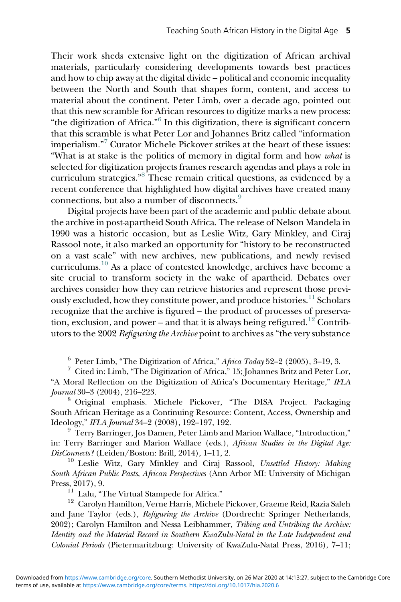Their work sheds extensive light on the digitization of African archival materials, particularly considering developments towards best practices and how to chip away at the digital divide – political and economic inequality between the North and South that shapes form, content, and access to material about the continent. Peter Limb, over a decade ago, pointed out that this new scramble for African resources to digitize marks a new process: "the digitization of Africa."<sup>[6](#page-4-0)</sup> In this digitization, there is significant concern that this scramble is what Peter Lor and Johannes Britz called "information imperialism." [7](#page-4-1) Curator Michele Pickover strikes at the heart of these issues: "What is at stake is the politics of memory in digital form and how what is selected for digitization projects frames research agendas and plays a role in curriculum strategies."<sup>[8](#page-4-2)</sup> These remain critical questions, as evidenced by a recent conference that highlighted how digital archives have created many connections, but also a number of disconnects.[9](#page-4-3)

Digital projects have been part of the academic and public debate about the archive in post-apartheid South Africa. The release of Nelson Mandela in 1990 was a historic occasion, but as Leslie Witz, Gary Minkley, and Ciraj Rassool note, it also marked an opportunity for "history to be reconstructed on a vast scale" with new archives, new publications, and newly revised curriculums.[10](#page-4-4) As a place of contested knowledge, archives have become a site crucial to transform society in the wake of apartheid. Debates over archives consider how they can retrieve histories and represent those previ-ously excluded, how they constitute power, and produce histories.<sup>[11](#page-4-5)</sup> Scholars recognize that the archive is figured – the product of processes of preserva-tion, exclusion, and power – and that it is always being refigured.<sup>[12](#page-4-6)</sup> Contributors to the 2002 Refiguring the Archive point to archives as "the very substance

<span id="page-4-1"></span><span id="page-4-0"></span> $^6$  Peter Limb, "The Digitization of Africa," Africa Today 52–2 (2005), 3–19, 3.  $^7$  Cited in: Limb, "The Digitization of Africa," 15; Johannes Britz and Peter Lor, "A Moral Reflection on the Digitization of Africa's Documentary Heritage," IFLA

<span id="page-4-2"></span>Journal 30–3 (2004), 216–223.<br><sup>8</sup> Original emphasis. Michele Pickover, "The DISA Project. Packaging South African Heritage as a Continuing Resource: Content, Access, Ownership and Ideology," IFLA Journal 34-2 (2008), 192-197, 192.

<span id="page-4-3"></span><sup>9</sup> Terry Barringer, Jos Damen, Peter Limb and Marion Wallace, "Introduction," in: Terry Barringer and Marion Wallace (eds.), African Studies in the Digital Age: DisConnects? (Leiden/Boston: Brill, 2014), 1-11, 2.

<span id="page-4-4"></span><sup>10</sup> Leslie Witz, Gary Minkley and Ciraj Rassool, Unsettled History: Making South African Public Pasts, African Perspectives (Ann Arbor MI: University of Michigan

<span id="page-4-6"></span><span id="page-4-5"></span>Press, 2017), 9.<br><sup>11</sup> Lalu, "The Virtual Stampede for Africa." <sup>12</sup> Carolyn Hamilton, Verne Harris, Michele Pickover, Graeme Reid, Razia Saleh and Jane Taylor (eds.), Refiguring the Archive (Dordrecht: Springer Netherlands, 2002); Carolyn Hamilton and Nessa Leibhammer, Tribing and Untribing the Archive: Identity and the Material Record in Southern KwaZulu-Natal in the Late Independent and Colonial Periods (Pietermaritzburg: University of KwaZulu-Natal Press, 2016), 7–11;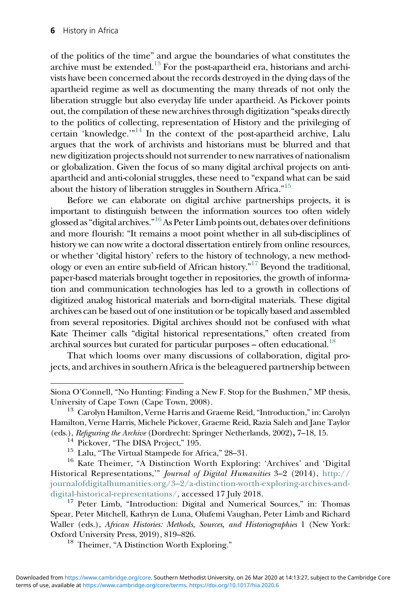of the politics of the time" and argue the boundaries of what constitutes the archive must be extended.<sup>[13](#page-5-0)</sup> For the post-apartheid era, historians and archivists have been concerned about the records destroyed in the dying days of the apartheid regime as well as documenting the many threads of not only the liberation struggle but also everyday life under apartheid. As Pickover points out, the compilation of these new archives through digitization "speaks directly to the politics of collecting, representation of History and the privileging of certain 'knowledge.'"[14](#page-5-1) In the context of the post-apartheid archive, Lalu argues that the work of archivists and historians must be blurred and that new digitization projects should not surrender to new narratives of nationalism or globalization. Given the focus of so many digital archival projects on antiapartheid and anti-colonial struggles, these need to "expand what can be said about the history of liberation struggles in Southern Africa."<sup>[15](#page-5-2)</sup>

Before we can elaborate on digital archive partnerships projects, it is important to distinguish between the information sources too often widely glossed as "digital archives."<sup>[16](#page-5-3)</sup> As Peter Limb points out, debates over definitions and more flourish: "It remains a moot point whether in all sub-disciplines of history we can now write a doctoral dissertation entirely from online resources, or whether 'digital history' refers to the history of technology, a new methodology or even an entire sub-field of African history." [17](#page-5-4) Beyond the traditional, paper-based materials brought together in repositories, the growth of information and communication technologies has led to a growth in collections of digitized analog historical materials and born-digital materials. These digital archives can be based out of one institution or be topically based and assembled from several repositories. Digital archives should not be confused with what Kate Theimer calls "digital historical representations," often created from archival sources but curated for particular purposes - often educational.<sup>18</sup>

That which looms over many discussions of collaboration, digital projects, and archives in southern Africa is the beleaguered partnership between

Siona O'Connell, "No Hunting: Finding a New F. Stop for the Bushmen," MP thesis, University of Cape Town (Cape Town, 2008). <sup>13</sup> Carolyn Hamilton, Verne Harris and Graeme Reid,"Introduction,"in: Carolyn

<span id="page-5-0"></span>Hamilton, Verne Harris, Michele Pickover, Graeme Reid, Razia Saleh and Jane Taylor (eds.), *Refiguring the Archive* (Dordrecht: Springer Netherlands, 2002), 7–18, 15.<br><sup>14</sup> Pickover, "The DISA Project," 195.<br><sup>15</sup> Lalu, "The Virtual Stampede for Africa," 28–31.<br><sup>16</sup> Kate Theimer, "A Distinction Worth Expl

<span id="page-5-3"></span><span id="page-5-2"></span><span id="page-5-1"></span>Historical Representations,'" Journal of Digital Humanities 3–2 (2014), [http://](http://journalofdigitalhumanities.org/32/a-distinction-worth-exploring-archives-and-digital-historical-representations/) journalofdigitalhumanities.org/3–[2/a-distinction-worth-exploring-archives-and](http://journalofdigitalhumanities.org/32/a-distinction-worth-exploring-archives-and-digital-historical-representations/)[digital-historical-representations/,](http://journalofdigitalhumanities.org/32/a-distinction-worth-exploring-archives-and-digital-historical-representations/) accessed 17 July 2018.<br><sup>17</sup> Peter Limb, "Introduction: Digital and Numerical Sources," in: Thomas

<span id="page-5-5"></span><span id="page-5-4"></span>Spear, Peter Mitchell, Kathryn de Luna, Olufemi Vaughan, Peter Limb and Richard Waller (eds.), African Histories: Methods, Sources, and Historiographies 1 (New York: Oxford University Press, 2019), 819–826.<br><sup>18</sup> Theimer, "A Distinction Worth Exploring."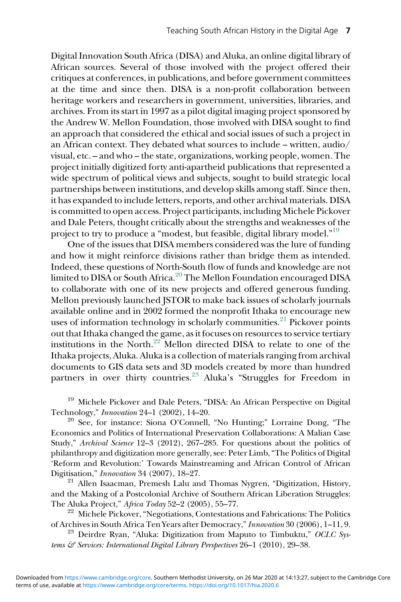Digital Innovation South Africa (DISA) and Aluka, an online digital library of African sources. Several of those involved with the project offered their critiques at conferences, in publications, and before government committees at the time and since then. DISA is a non-profit collaboration between heritage workers and researchers in government, universities, libraries, and archives. From its start in 1997 as a pilot digital imaging project sponsored by the Andrew W. Mellon Foundation, those involved with DISA sought to find an approach that considered the ethical and social issues of such a project in an African context. They debated what sources to include – written, audio/ visual, etc. – and who – the state, organizations, working people, women. The project initially digitized forty anti-apartheid publications that represented a wide spectrum of political views and subjects, sought to build strategic local partnerships between institutions, and develop skills among staff. Since then, it has expanded to include letters, reports, and other archival materials. DISA is committed to open access. Project participants, including Michele Pickover and Dale Peters, thought critically about the strengths and weaknesses of the project to try to produce a "modest, but feasible, digital library model."<sup>[19](#page-6-0)</sup>

One of the issues that DISA members considered was the lure of funding and how it might reinforce divisions rather than bridge them as intended. Indeed, these questions of North-South flow of funds and knowledge are not limited to DISA or South Africa.<sup>[20](#page-6-1)</sup> The Mellon Foundation encouraged DISA to collaborate with one of its new projects and offered generous funding. Mellon previously launched JSTOR to make back issues of scholarly journals available online and in 2002 formed the nonprofit Ithaka to encourage new uses of information technology in scholarly communities.<sup>[21](#page-6-2)</sup> Pickover points out that Ithaka changed the game, as it focuses on resources to service tertiary institutions in the North.<sup>22</sup> Mellon directed DISA to relate to one of the Ithaka projects, Aluka. Aluka is a collection of materials ranging from archival documents to GIS data sets and 3D models created by more than hundred partners in over thirty countries.<sup>[23](#page-6-4)</sup> Aluka's "Struggles for Freedom in

<span id="page-6-0"></span><sup>19</sup> Michele Pickover and Dale Peters, "DISA: An African Perspective on Digital Technology," *Innovation* 24–1 (2002), 14–20.<br><sup>20</sup> See, for instance: Siona O'Connell, "No Hunting;" Lorraine Dong, "The

<span id="page-6-1"></span>Economics and Politics of International Preservation Collaborations: A Malian Case Study," Archival Science 12–3 (2012), 267–285. For questions about the politics of philanthropy and digitization more generally, see: Peter Limb,"The Politics of Digital 'Reform and Revolution:' Towards Mainstreaming and African Control of African Digitisation," Innovation 34 (2007), 18–27.

<span id="page-6-2"></span> $21$  Allen Isaacman, Premesh Lalu and Thomas Nygren, "Digitization, History, and the Making of a Postcolonial Archive of Southern African Liberation Struggles:

<span id="page-6-3"></span>The Aluka Project," Africa Today 52–2 (2005), 55–77.<br><sup>22</sup> Michele Pickover, "Negotiations, Contestations and Fabrications: The Politics of Archives in South Africa Ten Years after Democracy," Innovation 30 (2006), 1–11, 9.<br><sup>23</sup> Deirdre Ryan, "Aluka: Digitization from Maputo to Timbuktu," OCLC Sys-

<span id="page-6-4"></span>tems & Services: International Digital Library Perspectives 26-1 (2010), 29-38.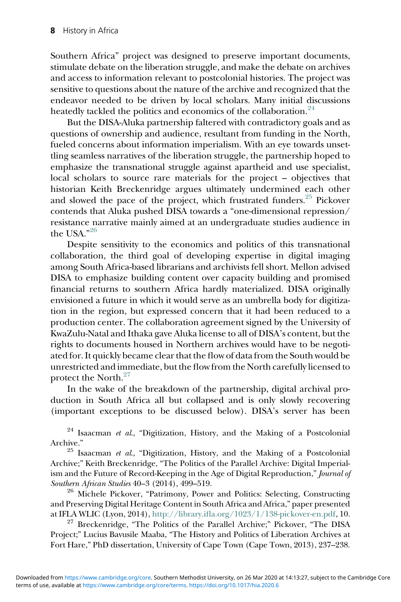Southern Africa" project was designed to preserve important documents, stimulate debate on the liberation struggle, and make the debate on archives and access to information relevant to postcolonial histories. The project was sensitive to questions about the nature of the archive and recognized that the endeavor needed to be driven by local scholars. Many initial discussions heatedly tackled the politics and economics of the collaboration.<sup>[24](#page-7-0)</sup>

But the DISA-Aluka partnership faltered with contradictory goals and as questions of ownership and audience, resultant from funding in the North, fueled concerns about information imperialism. With an eye towards unsettling seamless narratives of the liberation struggle, the partnership hoped to emphasize the transnational struggle against apartheid and use specialist, local scholars to source rare materials for the project – objectives that historian Keith Breckenridge argues ultimately undermined each other and slowed the pace of the project, which frustrated funders.  $25$  Pickover contends that Aluka pushed DISA towards a "one-dimensional repression/ resistance narrative mainly aimed at an undergraduate studies audience in the USA."<sup>[26](#page-7-2)</sup>

Despite sensitivity to the economics and politics of this transnational collaboration, the third goal of developing expertise in digital imaging among South Africa-based librarians and archivists fell short. Mellon advised DISA to emphasize building content over capacity building and promised financial returns to southern Africa hardly materialized. DISA originally envisioned a future in which it would serve as an umbrella body for digitization in the region, but expressed concern that it had been reduced to a production center. The collaboration agreement signed by the University of KwaZulu-Natal and Ithaka gave Aluka license to all of DISA's content, but the rights to documents housed in Northern archives would have to be negotiated for. It quickly became clear that the flow of data from the South would be unrestricted and immediate, but the flow from the North carefully licensed to protect the North.<sup>[27](#page-7-3)</sup>

In the wake of the breakdown of the partnership, digital archival production in South Africa all but collapsed and is only slowly recovering (important exceptions to be discussed below). DISA's server has been

<span id="page-7-0"></span> $24$  Isaacman et al., "Digitization, History, and the Making of a Postcolonial

<span id="page-7-1"></span>Archive." 25 Isaacman et al., "Digitization, History, and the Making of a Postcolonial Archive;" Keith Breckenridge, "The Politics of the Parallel Archive: Digital Imperialism and the Future of Record-Keeping in the Age of Digital Reproduction," Journal of Southern African Studies 40-3 (2014), 499-519.

<span id="page-7-2"></span> $26$  Michele Pickover, "Patrimony, Power and Politics: Selecting, Constructing and Preserving Digital Heritage Content in South Africa and Africa," paper presented at IFLA WLIC (Lyon, 2014), http://library.ifl[a.org/1023/1/138-pickover-en.pdf,](http://library.ifla.org/1023/1/138-pickover-en.pdf) 10.

<span id="page-7-3"></span><sup>27</sup> Breckenridge, "The Politics of the Parallel Archive;" Pickover, "The DISA Project;" Lucius Bavusile Maaba, "The History and Politics of Liberation Archives at Fort Hare," PhD dissertation, University of Cape Town (Cape Town, 2013), 237–238.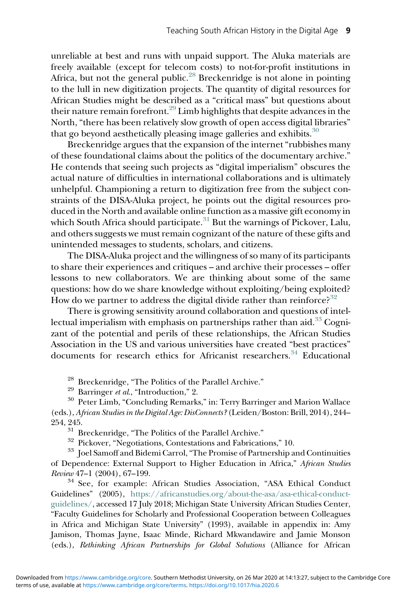unreliable at best and runs with unpaid support. The Aluka materials are freely available (except for telecom costs) to not-for-profit institutions in Africa, but not the general public.<sup>[28](#page-8-0)</sup> Breckenridge is not alone in pointing to the lull in new digitization projects. The quantity of digital resources for African Studies might be described as a "critical mass" but questions about their nature remain forefront.<sup>[29](#page-8-1)</sup> Limb highlights that despite advances in the North, "there has been relatively slow growth of open access digital libraries" that go beyond aesthetically pleasing image galleries and exhibits. $30$ 

Breckenridge argues that the expansion of the internet "rubbishes many of these foundational claims about the politics of the documentary archive." He contends that seeing such projects as "digital imperialism" obscures the actual nature of difficulties in international collaborations and is ultimately unhelpful. Championing a return to digitization free from the subject constraints of the DISA-Aluka project, he points out the digital resources produced in the North and available online function as a massive gift economy in which South Africa should participate.<sup>[31](#page-8-3)</sup> But the warnings of Pickover, Lalu, and others suggests we must remain cognizant of the nature of these gifts and unintended messages to students, scholars, and citizens.

The DISA-Aluka project and the willingness of so many of its participants to share their experiences and critiques – and archive their processes – offer lessons to new collaborators. We are thinking about some of the same questions: how do we share knowledge without exploiting/being exploited? How do we partner to address the digital divide rather than reinforce?<sup>[32](#page-8-4)</sup>

There is growing sensitivity around collaboration and questions of intellectual imperialism with emphasis on partnerships rather than aid. $33 \text{ Cogni-}$  $33 \text{ Cogni-}$ zant of the potential and perils of these relationships, the African Studies Association in the US and various universities have created "best practices" documents for research ethics for Africanist researchers.<sup>34</sup> Educational

<span id="page-8-2"></span><span id="page-8-1"></span><span id="page-8-0"></span><sup>28</sup> Breckenridge, "The Politics of the Parallel Archive."<br><sup>29</sup> Barringer *et al.*, "Introduction," 2.<br><sup>30</sup> Peter Limb, "Concluding Remarks," in: Terry Barringer and Marion Wallace (eds.), African Studies in the Digital Age: DisConnects? (Leiden/Boston: Brill, 2014), 244– 254, 245.<br> $31$  Breckenridge, "The Politics of the Parallel Archive."<br> $32$  Pickover, "Negotiations, Contestations and Fabrications," 10.<br> $33$  Joel Samoff and Bidemi Carrol, "The Promise of Partnership and Continuities

<span id="page-8-5"></span><span id="page-8-4"></span><span id="page-8-3"></span>of Dependence: External Support to Higher Education in Africa," African Studies<br>Review 47-1 (2004), 67-199.

<span id="page-8-6"></span><sup>34</sup> See, for example: African Studies Association, "ASA Ethical Conduct Guidelines" (2005), [https://africanstudies.org/about-the-asa/asa-ethical-conduct](https://africanstudies.org/about-the-asa/asa-ethical-conduct-guidelines/)[guidelines/,](https://africanstudies.org/about-the-asa/asa-ethical-conduct-guidelines/) accessed 17 July 2018; Michigan State University African Studies Center, "Faculty Guidelines for Scholarly and Professional Cooperation between Colleagues in Africa and Michigan State University" (1993), available in appendix in: Amy Jamison, Thomas Jayne, Isaac Minde, Richard Mkwandawire and Jamie Monson (eds.), Rethinking African Partnerships for Global Solutions (Alliance for African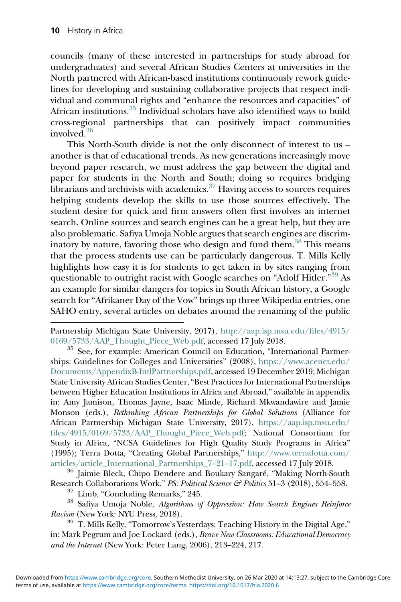councils (many of these interested in partnerships for study abroad for undergraduates) and several African Studies Centers at universities in the North partnered with African-based institutions continuously rework guidelines for developing and sustaining collaborative projects that respect individual and communal rights and "enhance the resources and capacities" of African institutions.[35](#page-9-0) Individual scholars have also identified ways to build cross-regional partnerships that can positively impact communities involved.[36](#page-9-1)

This North-South divide is not the only disconnect of interest to us – another is that of educational trends. As new generations increasingly move beyond paper research, we must address the gap between the digital and paper for students in the North and South; doing so requires bridging librarians and archivists with academics. $37$  Having access to sources requires helping students develop the skills to use those sources effectively. The student desire for quick and firm answers often first involves an internet search. Online sources and search engines can be a great help, but they are also problematic. Safiya Umoja Noble argues that search engines are discrim-inatory by nature, favoring those who design and fund them.<sup>[38](#page-9-3)</sup> This means that the process students use can be particularly dangerous. T. Mills Kelly highlights how easy it is for students to get taken in by sites ranging from questionable to outright racist with Google searches on "Adolf Hitler."<sup>[39](#page-9-4)</sup> As an example for similar dangers for topics in South African history, a Google search for "Afrikaner Day of the Vow" brings up three Wikipedia entries, one SAHO entry, several articles on debates around the renaming of the public

<span id="page-9-0"></span><sup>35</sup> See, for example: American Council on Education, "International Partnerships: Guidelines for Colleges and Universities" (2008), [https://www.acenet.edu/](https://www.acenet.edu/Documents/AppendixB-IntlPartnerships.pdf) [Documents/AppendixB-IntlPartnerships.pdf](https://www.acenet.edu/Documents/AppendixB-IntlPartnerships.pdf), accessed 19 December 2019; Michigan State University African Studies Center,"Best Practices for International Partnerships between Higher Education Institutions in Africa and Abroad," available in appendix in: Amy Jamison, Thomas Jayne, Isaac Minde, Richard Mkwandawire and Jamie Monson (eds.), Rethinking African Partnerships for Global Solutions (Alliance for African Partnership Michigan State University, 2017), [https://aap.isp.msu.edu/](https://aap.isp.msu.edu/files/4915/0169/5733/AAP_Thought_Piece_Web.pdf) fi[les/4915/0169/5733/AAP\\_Thought\\_Piece\\_Web.pdf](https://aap.isp.msu.edu/files/4915/0169/5733/AAP_Thought_Piece_Web.pdf); National Consortium for Study in Africa, "NCSA Guidelines for High Quality Study Programs in Africa" (1995); Terra Dotta, "Creating Global Partnerships," [http://www.terradotta.com/](http://www.terradotta.com/articles/article_International_Partnerships_7-21-17.pdf)

<span id="page-9-1"></span>[articles/article\\_International\\_Partnerships\\_7](http://www.terradotta.com/articles/article_International_Partnerships_7-21-17.pdf)–21–17.pdf, accessed 17 July 2018.<br><sup>36</sup> Jaimie Bleck, Chipo Dendere and Boukary Sangaré, "Making North-South

<span id="page-9-3"></span><span id="page-9-2"></span>Research Collaborations Work," *PS: Political Science & Politics* 51–3 (2018), 554–558.<br><sup>37</sup> Limb, "Concluding Remarks," 245.<br><sup>38</sup> Safiya Umoja Noble, *Algorithms of Oppression: How Search Engines Reinforce* Racism (New York: NYU Press, 2018). 39 T. Mills Kelly, "Tomorrow's Yesterdays: Teaching History in the Digital Age,"

<span id="page-9-4"></span>in: Mark Pegrum and Joe Lockard (eds.), Brave New Classrooms: Educational Democracy and the Internet (New York: Peter Lang, 2006), 213–224, 217.

Partnership Michigan State University, 2017), [http://aap.isp.msu.edu/](http://aap.isp.msu.edu/files/4915/0169/5733/AAP_Thought_Piece_Web.pdf)files/4915/<br>0169/5733/AAP\_Thought\_Piece\_Web.pdf, accessed 17 July 2018.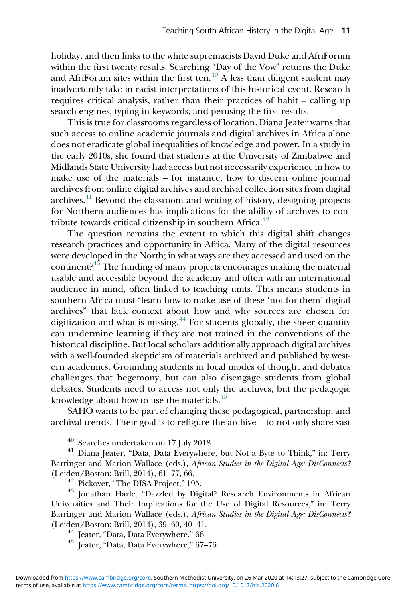holiday, and then links to the white supremacists David Duke and AfriForum within the first twenty results. Searching "Day of the Vow" returns the Duke and AfriForum sites within the first ten. $^{40}$  $^{40}$  $^{40}$  A less than diligent student may inadvertently take in racist interpretations of this historical event. Research requires critical analysis, rather than their practices of habit – calling up search engines, typing in keywords, and perusing the first results.

This is true for classrooms regardless of location. Diana Jeater warns that such access to online academic journals and digital archives in Africa alone does not eradicate global inequalities of knowledge and power. In a study in the early 2010s, she found that students at the University of Zimbabwe and Midlands State University had access but not necessarily experience in how to make use of the materials – for instance, how to discern online journal archives from online digital archives and archival collection sites from digital archives.[41](#page-10-1) Beyond the classroom and writing of history, designing projects for Northern audiences has implications for the ability of archives to contribute towards critical citizenship in southern Africa. $42$ 

The question remains the extent to which this digital shift changes research practices and opportunity in Africa. Many of the digital resources were developed in the North; in what ways are they accessed and used on the continent?  $43$  The funding of many projects encourages making the material usable and accessible beyond the academy and often with an international audience in mind, often linked to teaching units. This means students in southern Africa must "learn how to make use of these 'not-for-them' digital archives" that lack context about how and why sources are chosen for digitization and what is missing.<sup>[44](#page-10-4)</sup> For students globally, the sheer quantity can undermine learning if they are not trained in the conventions of the historical discipline. But local scholars additionally approach digital archives with a well-founded skepticism of materials archived and published by western academics. Grounding students in local modes of thought and debates challenges that hegemony, but can also disengage students from global debates. Students need to access not only the archives, but the pedagogic knowledge about how to use the materials.<sup>[45](#page-10-5)</sup>

SAHO wants to be part of changing these pedagogical, partnership, and archival trends. Their goal is to refigure the archive – to not only share vast

<span id="page-10-1"></span><span id="page-10-0"></span><sup>40</sup> Searches undertaken on 17 July 2018.<br><sup>41</sup> Diana Jeater, "Data, Data Everywhere, but Not a Byte to Think," in: Terry Barringer and Marion Wallace (eds.), African Studies in the Digital Age: DisConnects? (Leiden/Boston: Brill, 2014), 61–77, 66.

<span id="page-10-3"></span><span id="page-10-2"></span> $^{42}$  Pickover, "The DISA Project," 195.  $^{43}$  Jonathan Harle, "Dazzled by Digital? Research Environments in African Universities and Their Implications for the Use of Digital Resources," in: Terry Barringer and Marion Wallace (eds.), African Studies in the Digital Age: DisConnects? (Leiden/Boston: Brill, 2014), 39–60, 40–41. <sup>44</sup> Jeater, "Data, Data Everywhere," 66. <sup>45</sup> Jeater, "Data, Data Everywhere," <sup>67</sup>–76.

<span id="page-10-4"></span>

<span id="page-10-5"></span>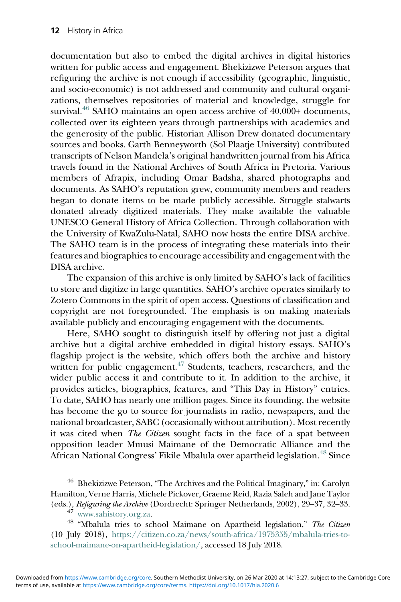documentation but also to embed the digital archives in digital histories written for public access and engagement. Bhekizizwe Peterson argues that refiguring the archive is not enough if accessibility (geographic, linguistic, and socio-economic) is not addressed and community and cultural organizations, themselves repositories of material and knowledge, struggle for survival.<sup>[46](#page-11-0)</sup> SAHO maintains an open access archive of 40,000+ documents, collected over its eighteen years through partnerships with academics and the generosity of the public. Historian Allison Drew donated documentary sources and books. Garth Benneyworth (Sol Plaatje University) contributed transcripts of Nelson Mandela's original handwritten journal from his Africa travels found in the National Archives of South Africa in Pretoria. Various members of Afrapix, including Omar Badsha, shared photographs and documents. As SAHO's reputation grew, community members and readers began to donate items to be made publicly accessible. Struggle stalwarts donated already digitized materials. They make available the valuable UNESCO General History of Africa Collection. Through collaboration with the University of KwaZulu-Natal, SAHO now hosts the entire DISA archive. The SAHO team is in the process of integrating these materials into their features and biographies to encourage accessibility and engagement with the DISA archive.

The expansion of this archive is only limited by SAHO's lack of facilities to store and digitize in large quantities. SAHO's archive operates similarly to Zotero Commons in the spirit of open access. Questions of classification and copyright are not foregrounded. The emphasis is on making materials available publicly and encouraging engagement with the documents.

Here, SAHO sought to distinguish itself by offering not just a digital archive but a digital archive embedded in digital history essays. SAHO's flagship project is the website, which offers both the archive and history written for public engagement. $47$  Students, teachers, researchers, and the wider public access it and contribute to it. In addition to the archive, it provides articles, biographies, features, and "This Day in History" entries. To date, SAHO has nearly one million pages. Since its founding, the website has become the go to source for journalists in radio, newspapers, and the national broadcaster, SABC (occasionally without attribution). Most recently it was cited when The Citizen sought facts in the face of a spat between opposition leader Mmusi Maimane of the Democratic Alliance and the African National Congress' Fikile Mbalula over apartheid legislation.<sup>[48](#page-11-2)</sup> Since

<span id="page-11-0"></span><sup>46</sup> Bhekizizwe Peterson, "The Archives and the Political Imaginary," in: Carolyn Hamilton, Verne Harris, Michele Pickover, Graeme Reid, Razia Saleh and Jane Taylor<br>(eds.), *Refiguring the Archive* (Dordrecht: Springer Netherlands, 2002), 29–37, 32–33.

<span id="page-11-2"></span><span id="page-11-1"></span> $^{47}$ <www.sahistory.org.za>.  $^{48}$  "Mbalula tries to school Maimane on Apartheid legislation," The Citizen (10 July 2018), [https://citizen.co.za/news/south-africa/1975355/mbalula-tries-to](https://citizen.co.za/news/south-africa/1975355/mbalula-tries-to-school-maimane-on-apartheid-legislation/)[school-maimane-on-apartheid-legislation/](https://citizen.co.za/news/south-africa/1975355/mbalula-tries-to-school-maimane-on-apartheid-legislation/), accessed 18 July 2018.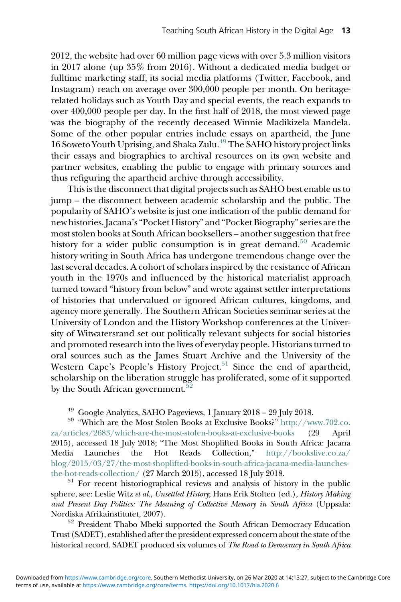2012, the website had over 60 million page views with over 5.3 million visitors in 2017 alone (up 35% from 2016). Without a dedicated media budget or fulltime marketing staff, its social media platforms (Twitter, Facebook, and Instagram) reach on average over 300,000 people per month. On heritagerelated holidays such as Youth Day and special events, the reach expands to over 400,000 people per day. In the first half of 2018, the most viewed page was the biography of the recently deceased Winnie Madikizela Mandela. Some of the other popular entries include essays on apartheid, the June 16 Soweto Youth Uprising, and Shaka Zulu.<sup>[49](#page-12-0)</sup> The SAHO history project links their essays and biographies to archival resources on its own website and partner websites, enabling the public to engage with primary sources and thus refiguring the apartheid archive through accessibility.

This is the disconnect that digital projects such as SAHO best enable us to jump – the disconnect between academic scholarship and the public. The popularity of SAHO's website is just one indication of the public demand for new histories. Jacana's"Pocket History" and "Pocket Biography"series are the most stolen books at South African booksellers – another suggestion that free history for a wider public consumption is in great demand.<sup>[50](#page-12-1)</sup> Academic history writing in South Africa has undergone tremendous change over the last several decades. A cohort of scholars inspired by the resistance of African youth in the 1970s and influenced by the historical materialist approach turned toward "history from below" and wrote against settler interpretations of histories that undervalued or ignored African cultures, kingdoms, and agency more generally. The Southern African Societies seminar series at the University of London and the History Workshop conferences at the University of Witwatersrand set out politically relevant subjects for social histories and promoted research into the lives of everyday people. Historians turned to oral sources such as the James Stuart Archive and the University of the Western Cape's People's History Project.<sup>[51](#page-12-2)</sup> Since the end of apartheid, scholarship on the liberation struggle has proliferated, some of it supported by the South African government.<sup>5</sup>

<span id="page-12-1"></span><span id="page-12-0"></span><sup>49</sup> Google Analytics, SAHO Pageviews, 1 January 2018 – 29 July 2018.<br><sup>50</sup> "Which are the Most Stolen Books at Exclusive Books?" [http://www.702.co.](https://wasscehistorytextbook.com/) [za/articles/2683/which-are-the-most-stolen-books-at-exclusive-books](https://wasscehistorytextbook.com/) (29 April 2015), accessed 18 July 2018; "The Most Shoplifted Books in South Africa: Jacana Media Launches the Hot Reads Collection," [http://bookslive.co.za/](https://theconversation.com/south-africa-wants-to-make-history-compulsory-at-school-but-can-it-97633) blog/2015/03/27/the-most-shoplifted-books-in-south-africa-jacana-media-launches-<br>the-hot-reads-collection/ (27 March 2015), accessed 18 July 2018.

<span id="page-12-2"></span> $51$  For recent historiographical reviews and analysis of history in the public sphere, see: Leslie Witz et al., Unsettled History; Hans Erik Stolten (ed.), History Making and Present Day Politics: The Meaning of Collective Memory in South Africa (Uppsala:

<span id="page-12-3"></span>Nordiska Afrikainstitutet, 2007).  $$^{52}$$  President Thabo Mbeki supported the South African Democracy Education Trust (SADET), established after the president expressed concern about the state of the historical record. SADET produced six volumes of The Road to Democracy in South Africa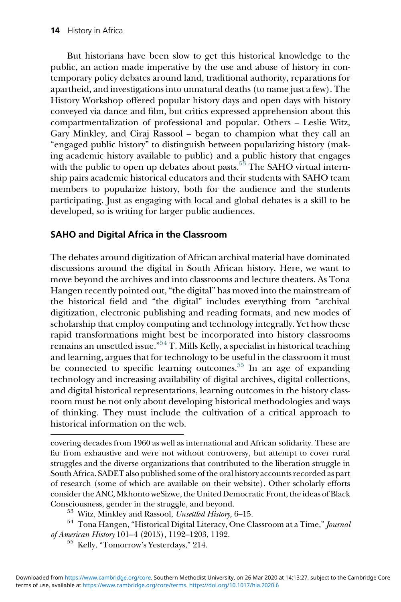But historians have been slow to get this historical knowledge to the public, an action made imperative by the use and abuse of history in contemporary policy debates around land, traditional authority, reparations for apartheid, and investigations into unnatural deaths (to name just a few). The History Workshop offered popular history days and open days with history conveyed via dance and film, but critics expressed apprehension about this compartmentalization of professional and popular. Others – Leslie Witz, Gary Minkley, and Ciraj Rassool – began to champion what they call an "engaged public history" to distinguish between popularizing history (making academic history available to public) and a public history that engages with the public to open up debates about pasts.<sup>[53](#page-13-0)</sup> The SAHO virtual internship pairs academic historical educators and their students with SAHO team members to popularize history, both for the audience and the students participating. Just as engaging with local and global debates is a skill to be developed, so is writing for larger public audiences.

## SAHO and Digital Africa in the Classroom

The debates around digitization of African archival material have dominated discussions around the digital in South African history. Here, we want to move beyond the archives and into classrooms and lecture theaters. As Tona Hangen recently pointed out,"the digital" has moved into the mainstream of the historical field and "the digital" includes everything from "archival digitization, electronic publishing and reading formats, and new modes of scholarship that employ computing and technology integrally. Yet how these rapid transformations might best be incorporated into history classrooms remains an unsettled issue." [54](#page-13-1) T. Mills Kelly, a specialist in historical teaching and learning, argues that for technology to be useful in the classroom it must be connected to specific learning outcomes.<sup>[55](#page-13-2)</sup> In an age of expanding technology and increasing availability of digital archives, digital collections, and digital historical representations, learning outcomes in the history classroom must be not only about developing historical methodologies and ways of thinking. They must include the cultivation of a critical approach to historical information on the web.

covering decades from 1960 as well as international and African solidarity. These are far from exhaustive and were not without controversy, but attempt to cover rural struggles and the diverse organizations that contributed to the liberation struggle in South Africa. SADET also published some of the oral history accounts recorded as part of research (some of which are available on their website). Other scholarly efforts consider the ANC, Mkhonto weSizwe, the United Democratic Front, the ideas of Black

<span id="page-13-2"></span><span id="page-13-1"></span><span id="page-13-0"></span>Consciousness, gender in the struggle, and beyond.  $\frac{53}{100}$  Witz, Minkley and Rassool, Unsettled History, 6–15.  $\frac{54}{100}$  Tona Hangen, "Historical Digital Literacy, One Classroom at a Time," Journal of American History <sup>101</sup>–4 (2015), 1192–1203, 1192. <sup>55</sup> Kelly, "Tomorrow's Yesterdays," 214.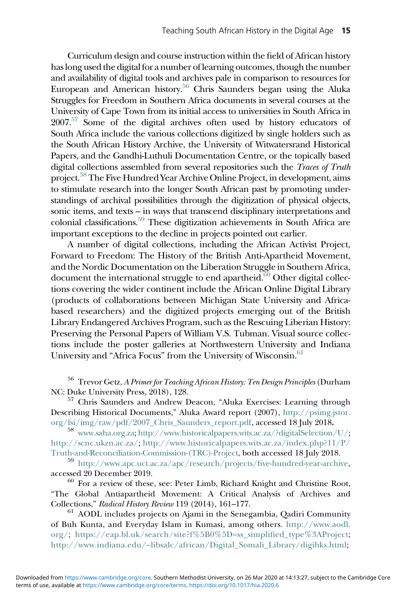Curriculum design and course instruction within the field of African history has long used the digital for a number of learning outcomes, though the number and availability of digital tools and archives pale in comparison to resources for European and American history.<sup>56</sup> Chris Saunders began using the Aluka Struggles for Freedom in Southern Africa documents in several courses at the University of Cape Town from its initial access to universities in South Africa in  $2007<sup>57</sup>$  $2007<sup>57</sup>$  $2007<sup>57</sup>$  Some of the digital archives often used by history educators of South Africa include the various collections digitized by single holders such as the South African History Archive, the University of Witwatersrand Historical Papers, and the Gandhi-Luthuli Documentation Centre, or the topically based digital collections assembled from several repositories such the  $Traces$  of Truth project.<sup>58</sup> The Five Hundred Year Archive Online Project, in development, aims to stimulate research into the longer South African past by promoting understandings of archival possibilities through the digitization of physical objects, sonic items, and texts – in ways that transcend disciplinary interpretations and colonial classifications.<sup>59</sup> These digitization achievements in South Africa are important exceptions to the decline in projects pointed out earlier.

A number of digital collections, including the African Activist Project, Forward to Freedom: The History of the British Anti-Apartheid Movement, and the Nordic Documentation on the Liberation Struggle in Southern Africa, document the international struggle to end apartheid. $60$  Other digital collections covering the wider continent include the African Online Digital Library (products of collaborations between Michigan State University and Africabased researchers) and the digitized projects emerging out of the British Library Endangered Archives Program, such as the Rescuing Liberian History: Preserving the Personal Papers of William V.S. Tubman. Visual source collections include the poster galleries at Northwestern University and Indiana University and "Africa Focus" from the University of Wisconsin.[61](#page-14-5)

<span id="page-14-0"></span><sup>56</sup> Trevor Getz, A Primer for Teaching African History: Ten Design Principles (Durham NC: Duke University Press, 2018), 128.<br><sup>57</sup> Chris Saunders and Andrew Deacon, "Aluka Exercises: Learning through

<span id="page-14-1"></span>Describing Historical Documents," Aluka Award report (2007), [http://psimg.jstor.](http://ewn.co.za/2018/05/31/task-team-recommends-history-be-made-compulsory-at-schools-from-2023)<br>org/fsi/img/raw/pdf/2007\_Chris\_Saunders\_report.pdf, accessed 18 July 2018.

<span id="page-14-2"></span><sup>58</sup> [www.saha.org.za;](http://africanactivist.msu.edu/document_metadata.php?objectid=32-130-153D) [http://www.historicalpapers.wits.ac.za/?digitalSelection/U/](http://library.ifla.org/1023/1/138-pickover-en.pdf); [http://scnc.ukzn.ac.za/](http://blog.historians.org/2016/08/teaching-with-digital-history/); [http://www.historicalpapers.wits.ac.za/index.php?11/P/](http://psimg.jstor.org/fsi/img/raw/pdf/2007_Chris_Saunders_report.pdf)

<span id="page-14-3"></span>[Truth-and-Reconciliation-Commission-\(TRC\)-Project](http://psimg.jstor.org/fsi/img/raw/pdf/2007_Chris_Saunders_report.pdf), both accessed 18 July 2018.<br><sup>59</sup> [http://www.apc.uct.ac.za/apc/research/projects/](http://journalofdigitalhumanities.org/32/a-distinction-worth-exploring-archives-and-digital-historical-representations/)five-hundred-year-archive, accessed 20 December 2019.

<span id="page-14-4"></span> $60$  For a review of these, see: Peter Limb, Richard Knight and Christine Root, "The Global Antiapartheid Movement: A Critical Analysis of Archives and Collections," Radical History Review 119 (2014), 161–177.

<span id="page-14-5"></span> $61$  AODL includes projects on Ajami in the Senegambia, Qadiri Community of Buh Kunta, and Everyday Islam in Kumasi, among others. [http://www.aodl.](https://granta.com/how-to-write-about-africa/) [org/;](https://granta.com/how-to-write-about-africa/) [https://eap.bl.uk/search/site?f%5B0%5D=ss\\_simpli](https://eap.bl.uk/search/site?f%5B0%5D=ss_simplified_type%3AProject)fied\_type%3AProject; [http://www.indiana.edu/~libsalc/african/Digital\\_Somali\\_Library/digibks.html](http://www.indiana.edu/~libsalc/african/Digital_Somali_Library/digibks.html);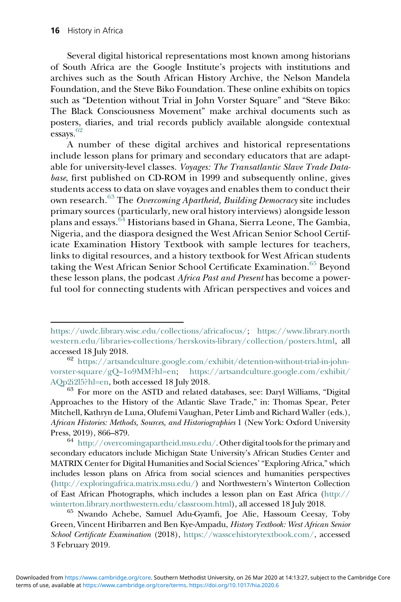Several digital historical representations most known among historians of South Africa are the Google Institute's projects with institutions and archives such as the South African History Archive, the Nelson Mandela Foundation, and the Steve Biko Foundation. These online exhibits on topics such as "Detention without Trial in John Vorster Square" and "Steve Biko: The Black Consciousness Movement" make archival documents such as posters, diaries, and trial records publicly available alongside contextual essays.<sup>[62](#page-15-0)</sup>

A number of these digital archives and historical representations include lesson plans for primary and secondary educators that are adaptable for university-level classes. Voyages: The Transatlantic Slave Trade Database, first published on CD-ROM in 1999 and subsequently online, gives students access to data on slave voyages and enables them to conduct their own research.<sup>[63](#page-15-1)</sup> The *Overcoming Apartheid, Building Democracy* site includes primary sources (particularly, new oral history interviews) alongside lesson plans and essays.[64](#page-15-2) Historians based in Ghana, Sierra Leone, The Gambia, Nigeria, and the diaspora designed the West African Senior School Certificate Examination History Textbook with sample lectures for teachers, links to digital resources, and a history textbook for West African students taking the West African Senior School Certificate Examination.<sup>[65](#page-15-3)</sup> Beyond these lesson plans, the podcast Africa Past and Present has become a powerful tool for connecting students with African perspectives and voices and

<span id="page-15-3"></span>Green, Vincent Hiribarren and Ben Kye-Ampadu, History Textbook: West African Senior School Certificate Examination (2018), [https://wasscehistorytextbook.com/,](https://wasscehistorytextbook.com/) accessed 3 February 2019.

<https://uwdc.library.wisc.edu/collections/africafocus/>; [https://www.library.north](https://www.library.northwestern.edu/libraries-collections/herskovits-library/collection/posters.html) [western.edu/libraries-collections/herskovits-library/collection/posters.html,](https://www.library.northwestern.edu/libraries-collections/herskovits-library/collection/posters.html) all accessed 18 July 2018.  $\frac{62}{\text{https://artsandculture.google.com/exhibit/detection-without-trial-in-john-}}$ 

<span id="page-15-0"></span>[vorster-square/gQ](https://artsandculture.google.com/exhibit/detention-without-trial-in-john-vorster-square/gQ-1o9MM?hl=en)–1o9MM?hl=en; [https://artsandculture.google.com/exhibit/](https://artsandculture.google.com/exhibit/AQp2i2l5?hl=en)  $\text{AQp2i2l5:hl=en, both accessed 18 July 2018.}$   $^{63}$  For more on the ASTD and related databases, see: Daryl Williams, "Digital

<span id="page-15-1"></span>Approaches to the History of the Atlantic Slave Trade," in: Thomas Spear, Peter Mitchell, Kathryn de Luna, Olufemi Vaughan, Peter Limb and Richard Waller (eds.), African Histories: Methods, Sources, and Historiographies 1 (New York: Oxford University Press, 2019), 866–879.

<span id="page-15-2"></span> $^{64}\,$ [http://overcomingapartheid.msu.edu/.](http://overcomingapartheid.msu.edu/) Other digital tools for the primary and secondary educators include Michigan State University's African Studies Center and MATRIX Center for Digital Humanities and Social Sciences' "Exploring Africa," which includes lesson plans on Africa from social sciences and humanities perspectives [\(http://exploringafrica.matrix.msu.edu/](http://exploringafrica.matrix.msu.edu/)) and Northwestern's Winterton Collection of East African Photographs, which includes a lesson plan on East Africa [\(http://](http://winterton.library.northwestern.edu/classroom.html) [winterton.library.northwestern.edu/classroom.html](http://winterton.library.northwestern.edu/classroom.html)), all accessed 18 July 2018.<br><sup>65</sup> Nwando Achebe, Samuel Adu-Gyamfi, Joe Alie, Hassoum Ceesay, Toby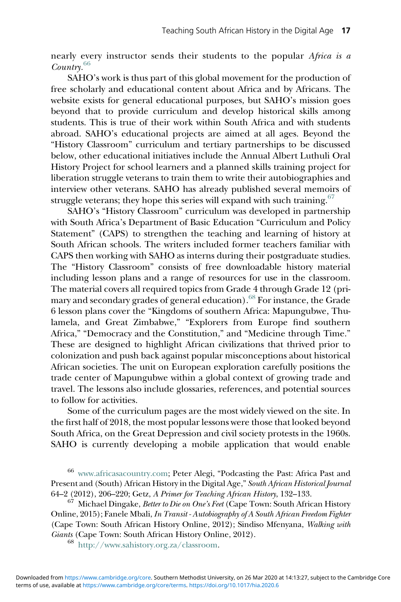nearly every instructor sends their students to the popular Africa is a Country.[66](#page-16-0)

SAHO's work is thus part of this global movement for the production of free scholarly and educational content about Africa and by Africans. The website exists for general educational purposes, but SAHO's mission goes beyond that to provide curriculum and develop historical skills among students. This is true of their work within South Africa and with students abroad. SAHO's educational projects are aimed at all ages. Beyond the "History Classroom" curriculum and tertiary partnerships to be discussed below, other educational initiatives include the Annual Albert Luthuli Oral History Project for school learners and a planned skills training project for liberation struggle veterans to train them to write their autobiographies and interview other veterans. SAHO has already published several memoirs of struggle veterans; they hope this series will expand with such training.  $67$ 

SAHO's "History Classroom" curriculum was developed in partnership with South Africa's Department of Basic Education "Curriculum and Policy Statement" (CAPS) to strengthen the teaching and learning of history at South African schools. The writers included former teachers familiar with CAPS then working with SAHO as interns during their postgraduate studies. The "History Classroom" consists of free downloadable history material including lesson plans and a range of resources for use in the classroom. The material covers all required topics from Grade 4 through Grade 12 (pri-mary and secondary grades of general education).<sup>[68](#page-16-2)</sup> For instance, the Grade 6 lesson plans cover the "Kingdoms of southern Africa: Mapungubwe, Thulamela, and Great Zimbabwe," "Explorers from Europe find southern Africa," "Democracy and the Constitution," and "Medicine through Time." These are designed to highlight African civilizations that thrived prior to colonization and push back against popular misconceptions about historical African societies. The unit on European exploration carefully positions the trade center of Mapungubwe within a global context of growing trade and travel. The lessons also include glossaries, references, and potential sources to follow for activities.

Some of the curriculum pages are the most widely viewed on the site. In the first half of 2018, the most popular lessons were those that looked beyond South Africa, on the Great Depression and civil society protests in the 1960s. SAHO is currently developing a mobile application that would enable

<span id="page-16-0"></span><sup>66</sup> [www.africasacountry.com;](http://www.africasacountry.com) Peter Alegi, "Podcasting the Past: Africa Past and Present and (South) African History in the Digital Age," South African Historical Journal 64–2 (2012), 206–220; Getz, A Primer for Teaching African History, 132–133.<br><sup>67</sup> Michael Dingake, *Better to Die on One's Feet* (Cape Town: South African History

<span id="page-16-2"></span><span id="page-16-1"></span>Online, 2015); Fanele Mbali, In Transit - Autobiography of A South African Freedom Fighter (Cape Town: South African History Online, 2012); Sindiso Mfenyana, Walking with Giants (Cape Town: South African History Online, 2012).<br><sup>68</sup> <http://www.sahistory.org.za/classroom>.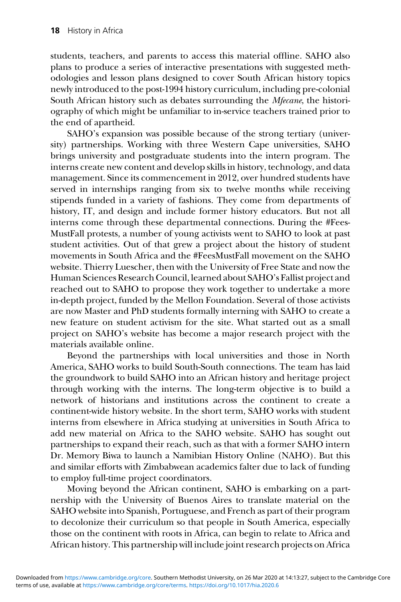students, teachers, and parents to access this material offline. SAHO also plans to produce a series of interactive presentations with suggested methodologies and lesson plans designed to cover South African history topics newly introduced to the post-1994 history curriculum, including pre-colonial South African history such as debates surrounding the Mfecane, the historiography of which might be unfamiliar to in-service teachers trained prior to the end of apartheid.

SAHO's expansion was possible because of the strong tertiary (university) partnerships. Working with three Western Cape universities, SAHO brings university and postgraduate students into the intern program. The interns create new content and develop skills in history, technology, and data management. Since its commencement in 2012, over hundred students have served in internships ranging from six to twelve months while receiving stipends funded in a variety of fashions. They come from departments of history, IT, and design and include former history educators. But not all interns come through these departmental connections. During the #Fees-MustFall protests, a number of young activists went to SAHO to look at past student activities. Out of that grew a project about the history of student movements in South Africa and the #FeesMustFall movement on the SAHO website. Thierry Luescher, then with the University of Free State and now the Human Sciences Research Council, learned about SAHO's Fallist project and reached out to SAHO to propose they work together to undertake a more in-depth project, funded by the Mellon Foundation. Several of those activists are now Master and PhD students formally interning with SAHO to create a new feature on student activism for the site. What started out as a small project on SAHO's website has become a major research project with the materials available online.

Beyond the partnerships with local universities and those in North America, SAHO works to build South-South connections. The team has laid the groundwork to build SAHO into an African history and heritage project through working with the interns. The long-term objective is to build a network of historians and institutions across the continent to create a continent-wide history website. In the short term, SAHO works with student interns from elsewhere in Africa studying at universities in South Africa to add new material on Africa to the SAHO website. SAHO has sought out partnerships to expand their reach, such as that with a former SAHO intern Dr. Memory Biwa to launch a Namibian History Online (NAHO). But this and similar efforts with Zimbabwean academics falter due to lack of funding to employ full-time project coordinators.

Moving beyond the African continent, SAHO is embarking on a partnership with the University of Buenos Aires to translate material on the SAHO website into Spanish, Portuguese, and French as part of their program to decolonize their curriculum so that people in South America, especially those on the continent with roots in Africa, can begin to relate to Africa and African history. This partnership will include joint research projects on Africa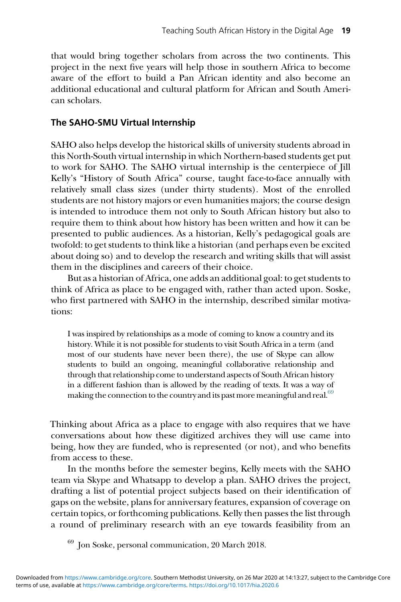that would bring together scholars from across the two continents. This project in the next five years will help those in southern Africa to become aware of the effort to build a Pan African identity and also become an additional educational and cultural platform for African and South American scholars.

### The SAHO-SMU Virtual Internship

SAHO also helps develop the historical skills of university students abroad in this North-South virtual internship in which Northern-based students get put to work for SAHO. The SAHO virtual internship is the centerpiece of Jill Kelly's "History of South Africa" course, taught face-to-face annually with relatively small class sizes (under thirty students). Most of the enrolled students are not history majors or even humanities majors; the course design is intended to introduce them not only to South African history but also to require them to think about how history has been written and how it can be presented to public audiences. As a historian, Kelly's pedagogical goals are twofold: to get students to think like a historian (and perhaps even be excited about doing so) and to develop the research and writing skills that will assist them in the disciplines and careers of their choice.

But as a historian of Africa, one adds an additional goal: to get students to think of Africa as place to be engaged with, rather than acted upon. Soske, who first partnered with SAHO in the internship, described similar motivations:

I was inspired by relationships as a mode of coming to know a country and its history. While it is not possible for students to visit South Africa in a term (and most of our students have never been there), the use of Skype can allow students to build an ongoing, meaningful collaborative relationship and through that relationship come to understand aspects of South African history in a different fashion than is allowed by the reading of texts. It was a way of making the connection to the country and its past more meaningful and real.<sup>69</sup>

Thinking about Africa as a place to engage with also requires that we have conversations about how these digitized archives they will use came into being, how they are funded, who is represented (or not), and who benefits from access to these.

In the months before the semester begins, Kelly meets with the SAHO team via Skype and Whatsapp to develop a plan. SAHO drives the project, drafting a list of potential project subjects based on their identification of gaps on the website, plans for anniversary features, expansion of coverage on certain topics, or forthcoming publications. Kelly then passes the list through a round of preliminary research with an eye towards feasibility from an

<span id="page-18-0"></span><sup>69</sup> Jon Soske, personal communication, 20 March 2018.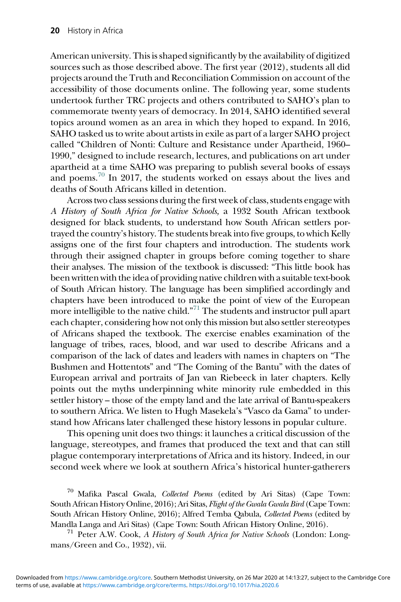American university. This is shaped significantly by the availability of digitized sources such as those described above. The first year (2012), students all did projects around the Truth and Reconciliation Commission on account of the accessibility of those documents online. The following year, some students undertook further TRC projects and others contributed to SAHO's plan to commemorate twenty years of democracy. In 2014, SAHO identified several topics around women as an area in which they hoped to expand. In 2016, SAHO tasked us to write about artists in exile as part of a larger SAHO project called "Children of Nonti: Culture and Resistance under Apartheid, 1960– 1990," designed to include research, lectures, and publications on art under apartheid at a time SAHO was preparing to publish several books of essays and poems.<sup>[70](#page-19-0)</sup> In 2017, the students worked on essays about the lives and deaths of South Africans killed in detention.

Across two class sessions during the first week of class, students engage with A History of South Africa for Native Schools, a 1932 South African textbook designed for black students, to understand how South African settlers portrayed the country's history. The students break into five groups, to which Kelly assigns one of the first four chapters and introduction. The students work through their assigned chapter in groups before coming together to share their analyses. The mission of the textbook is discussed: "This little book has been written with the idea of providing native children with a suitable text-book of South African history. The language has been simplified accordingly and chapters have been introduced to make the point of view of the European more intelligible to the native child."<sup>[71](#page-19-1)</sup> The students and instructor pull apart each chapter, considering how not only this mission but also settler stereotypes of Africans shaped the textbook. The exercise enables examination of the language of tribes, races, blood, and war used to describe Africans and a comparison of the lack of dates and leaders with names in chapters on "The Bushmen and Hottentots" and "The Coming of the Bantu" with the dates of European arrival and portraits of Jan van Riebeeck in later chapters. Kelly points out the myths underpinning white minority rule embedded in this settler history – those of the empty land and the late arrival of Bantu-speakers to southern Africa. We listen to Hugh Masekela's "Vasco da Gama" to understand how Africans later challenged these history lessons in popular culture.

This opening unit does two things: it launches a critical discussion of the language, stereotypes, and frames that produced the text and that can still plague contemporary interpretations of Africa and its history. Indeed, in our second week where we look at southern Africa's historical hunter-gatherers

<span id="page-19-0"></span>Mafika Pascal Gwala, Collected Poems (edited by Ari Sitas) (Cape Town: South African History Online, 2016); Ari Sitas, Flight of the Gwala Gwala Bird (Cape Town: South African History Online, 2016); Alfred Temba Qabula, Collected Poems (edited by Mandla Langa and Ari Sitas) (Cape Town: South African History Online, 2016).<br><sup>71</sup> Peter A.W. Cook, *A History of South Africa for Native Schools* (London: Long-

<span id="page-19-1"></span>mans/Green and Co., 1932), vii.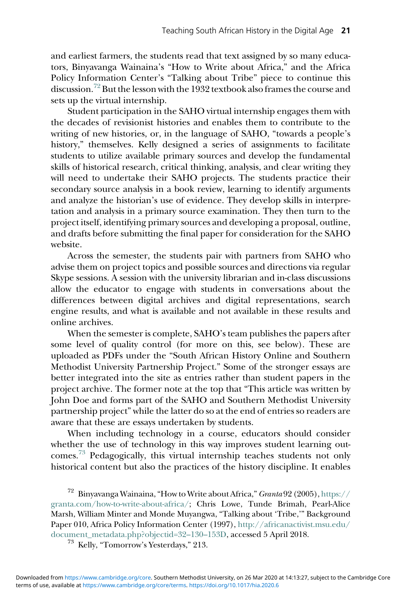and earliest farmers, the students read that text assigned by so many educators, Binyavanga Wainaina's "How to Write about Africa," and the Africa Policy Information Center's "Talking about Tribe" piece to continue this discussion.<sup>[72](#page-20-0)</sup> But the lesson with the 1932 textbook also frames the course and sets up the virtual internship.

Student participation in the SAHO virtual internship engages them with the decades of revisionist histories and enables them to contribute to the writing of new histories, or, in the language of SAHO, "towards a people's history," themselves. Kelly designed a series of assignments to facilitate students to utilize available primary sources and develop the fundamental skills of historical research, critical thinking, analysis, and clear writing they will need to undertake their SAHO projects. The students practice their secondary source analysis in a book review, learning to identify arguments and analyze the historian's use of evidence. They develop skills in interpretation and analysis in a primary source examination. They then turn to the project itself, identifying primary sources and developing a proposal, outline, and drafts before submitting the final paper for consideration for the SAHO website.

Across the semester, the students pair with partners from SAHO who advise them on project topics and possible sources and directions via regular Skype sessions. A session with the university librarian and in-class discussions allow the educator to engage with students in conversations about the differences between digital archives and digital representations, search engine results, and what is available and not available in these results and online archives.

When the semester is complete, SAHO's team publishes the papers after some level of quality control (for more on this, see below). These are uploaded as PDFs under the "South African History Online and Southern Methodist University Partnership Project." Some of the stronger essays are better integrated into the site as entries rather than student papers in the project archive. The former note at the top that "This article was written by John Doe and forms part of the SAHO and Southern Methodist University partnership project" while the latter do so at the end of entries so readers are aware that these are essays undertaken by students.

When including technology in a course, educators should consider whether the use of technology in this way improves student learning outcomes[.73](#page-20-1) Pedagogically, this virtual internship teaches students not only historical content but also the practices of the history discipline. It enables

<span id="page-20-1"></span><span id="page-20-0"></span><sup>72</sup> Binyavanga Wainaina,"How to Write about Africa,"Granta 92 (2005), [https://](https://granta.com/how-to-write-about-africa/) [granta.com/how-to-write-about-africa/;](https://granta.com/how-to-write-about-africa/) Chris Lowe, Tunde Brimah, Pearl-Alice Marsh, William Minter and Monde Muyangwa, "Talking about 'Tribe,'" Background Paper 010, Africa Policy Information Center (1997), [http://africanactivist.msu.edu/](http://africanactivist.msu.edu/document_metadata.php?objectid=32-130-153D) [document\\_metadata.php?objectid=32](http://africanactivist.msu.edu/document_metadata.php?objectid=32-130-153D)–130–153D, accessed 5 April 2018. <sup>73</sup> Kelly, "Tomorrow's Yesterdays," 213.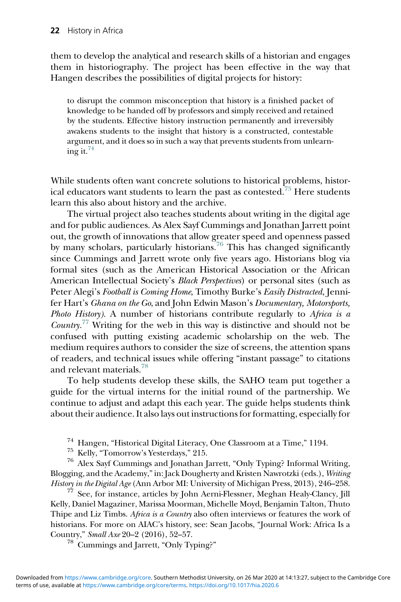them to develop the analytical and research skills of a historian and engages them in historiography. The project has been effective in the way that Hangen describes the possibilities of digital projects for history:

to disrupt the common misconception that history is a finished packet of knowledge to be handed off by professors and simply received and retained by the students. Effective history instruction permanently and irreversibly awakens students to the insight that history is a constructed, contestable argument, and it does so in such a way that prevents students from unlearning it. $74$ 

While students often want concrete solutions to historical problems, histor-ical educators want students to learn the past as contested.<sup>[75](#page-21-1)</sup> Here students learn this also about history and the archive.

The virtual project also teaches students about writing in the digital age and for public audiences. As Alex Sayf Cummings and Jonathan Jarrett point out, the growth of innovations that allow greater speed and openness passed by many scholars, particularly historians.<sup>[76](#page-21-2)</sup> This has changed significantly since Cummings and Jarrett wrote only five years ago. Historians blog via formal sites (such as the American Historical Association or the African American Intellectual Society's Black Perspectives) or personal sites (such as Peter Alegi's Football is Coming Home, Timothy Burke's Easily Distracted, Jennifer Hart's Ghana on the Go, and John Edwin Mason's Documentary, Motorsports, Photo History). A number of historians contribute regularly to Africa is a *Country.*<sup>[77](#page-21-3)</sup> Writing for the web in this way is distinctive and should not be confused with putting existing academic scholarship on the web. The medium requires authors to consider the size of screens, the attention spans of readers, and technical issues while offering "instant passage" to citations and relevant materials.[78](#page-21-4)

To help students develop these skills, the SAHO team put together a guide for the virtual interns for the initial round of the partnership. We continue to adjust and adapt this each year. The guide helps students think about their audience. It also lays out instructions for formatting, especially for

<span id="page-21-2"></span><span id="page-21-1"></span><span id="page-21-0"></span><sup>74</sup> Hangen, "Historical Digital Literacy, One Classroom at a Time," 1194.<br><sup>75</sup> Kelly, "Tomorrow's Yesterdays," 215.<br><sup>76</sup> Alex Sayf Cummings and Jonathan Jarrett, "Only Typing? Informal Writing, Blogging, and the Academy,"in: Jack Dougherty and Kristen Nawrotzki (eds.), Writing  $Hitsory$  in the Digital Age (Ann Arbor MI: University of Michigan Press, 2013), 246–258.  $^{77}$  See, for instance, articles by John Aerni-Flessner, Meghan Healy-Clancy, Jill

<span id="page-21-4"></span><span id="page-21-3"></span>Kelly, Daniel Magaziner, Marissa Moorman, Michelle Moyd, Benjamin Talton, Thuto Thipe and Liz Timbs. Africa is a Country also often interviews or features the work of historians. For more on AIAC's history, see: Sean Jacobs, "Journal Work: Africa Is a Country," Small Axe <sup>20</sup>–2 (2016), 52–57. <sup>78</sup> Cummings and Jarrett, "Only Typing?"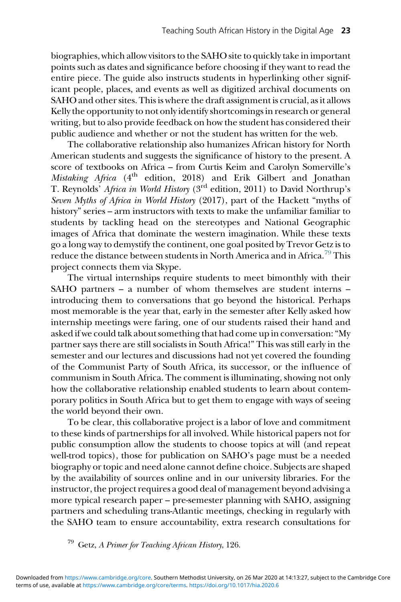biographies, which allow visitors to the SAHO site to quickly take in important points such as dates and significance before choosing if they want to read the entire piece. The guide also instructs students in hyperlinking other significant people, places, and events as well as digitized archival documents on SAHO and other sites. This is where the draft assignment is crucial, as it allows Kelly the opportunity to not only identify shortcomings in research or general writing, but to also provide feedback on how the student has considered their public audience and whether or not the student has written for the web.

The collaborative relationship also humanizes African history for North American students and suggests the significance of history to the present. A score of textbooks on Africa – from Curtis Keim and Carolyn Somerville's Mistaking Africa (4<sup>th</sup> edition, 2018) and Erik Gilbert and Jonathan T. Reynolds' Africa in World History (3<sup>rd</sup> edition, 2011) to David Northrup's Seven Myths of Africa in World History (2017), part of the Hackett "myths of history" series – arm instructors with texts to make the unfamiliar familiar to students by tackling head on the stereotypes and National Geographic images of Africa that dominate the western imagination. While these texts go a long way to demystify the continent, one goal posited by Trevor Getz is to reduce the distance between students in North America and in Africa.<sup>[79](#page-22-0)</sup> This project connects them via Skype.

The virtual internships require students to meet bimonthly with their SAHO partners – a number of whom themselves are student interns – introducing them to conversations that go beyond the historical. Perhaps most memorable is the year that, early in the semester after Kelly asked how internship meetings were faring, one of our students raised their hand and asked if we could talk about something that had come up in conversation:"My partner says there are still socialists in South Africa!" This was still early in the semester and our lectures and discussions had not yet covered the founding of the Communist Party of South Africa, its successor, or the influence of communism in South Africa. The comment is illuminating, showing not only how the collaborative relationship enabled students to learn about contemporary politics in South Africa but to get them to engage with ways of seeing the world beyond their own.

To be clear, this collaborative project is a labor of love and commitment to these kinds of partnerships for all involved. While historical papers not for public consumption allow the students to choose topics at will (and repeat well-trod topics), those for publication on SAHO's page must be a needed biography or topic and need alone cannot define choice. Subjects are shaped by the availability of sources online and in our university libraries. For the instructor, the project requires a good deal of management beyond advising a more typical research paper – pre-semester planning with SAHO, assigning partners and scheduling trans-Atlantic meetings, checking in regularly with the SAHO team to ensure accountability, extra research consultations for

<span id="page-22-0"></span><sup>79</sup> Getz, A Primer for Teaching African History, 126.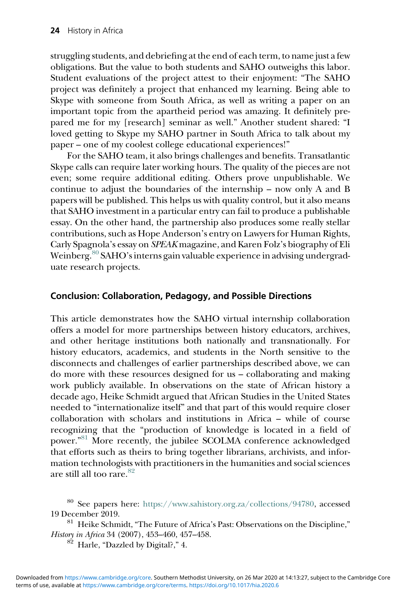struggling students, and debriefing at the end of each term, to name just a few obligations. But the value to both students and SAHO outweighs this labor. Student evaluations of the project attest to their enjoyment: "The SAHO project was definitely a project that enhanced my learning. Being able to Skype with someone from South Africa, as well as writing a paper on an important topic from the apartheid period was amazing. It definitely prepared me for my [research] seminar as well." Another student shared: "I loved getting to Skype my SAHO partner in South Africa to talk about my paper – one of my coolest college educational experiences!"

For the SAHO team, it also brings challenges and benefits. Transatlantic Skype calls can require later working hours. The quality of the pieces are not even; some require additional editing. Others prove unpublishable. We continue to adjust the boundaries of the internship – now only A and B papers will be published. This helps us with quality control, but it also means that SAHO investment in a particular entry can fail to produce a publishable essay. On the other hand, the partnership also produces some really stellar contributions, such as Hope Anderson's entry on Lawyers for Human Rights, Carly Spagnola's essay on SPEAK magazine, and Karen Folz's biography of Eli Weinberg.[80](#page-23-0) SAHO's interns gain valuable experience in advising undergraduate research projects.

#### Conclusion: Collaboration, Pedagogy, and Possible Directions

This article demonstrates how the SAHO virtual internship collaboration offers a model for more partnerships between history educators, archives, and other heritage institutions both nationally and transnationally. For history educators, academics, and students in the North sensitive to the disconnects and challenges of earlier partnerships described above, we can do more with these resources designed for us – collaborating and making work publicly available. In observations on the state of African history a decade ago, Heike Schmidt argued that African Studies in the United States needed to "internationalize itself" and that part of this would require closer collaboration with scholars and institutions in Africa – while of course recognizing that the "production of knowledge is located in a field of power."<sup>[81](#page-23-1)</sup> More recently, the jubilee SCOLMA conference acknowledged that efforts such as theirs to bring together librarians, archivists, and information technologists with practitioners in the humanities and social sciences are still all too rare. $82$ 

<span id="page-23-0"></span><sup>80</sup> See papers here: <https://www.sahistory.org.za/collections/94780>, accessed

<span id="page-23-2"></span><span id="page-23-1"></span>19 December 2019.<br><sup>81</sup> Heike Schmidt, "The Future of Africa's Past: Observations on the Discipline," History in Africa 34 (2007), 453–460, 457–458. <sup>82</sup> Harle, "Dazzled by Digital?," 4.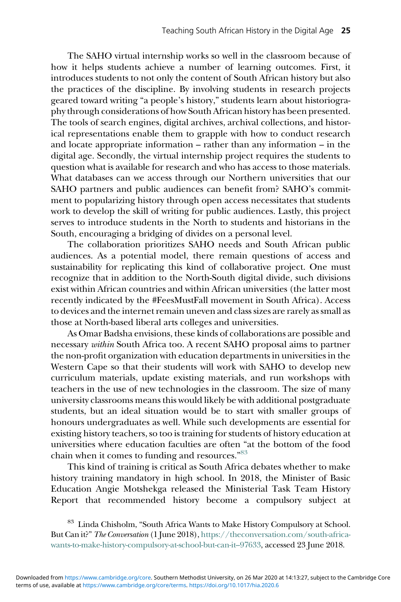The SAHO virtual internship works so well in the classroom because of how it helps students achieve a number of learning outcomes. First, it introduces students to not only the content of South African history but also the practices of the discipline. By involving students in research projects geared toward writing "a people's history," students learn about historiography through considerations of how South African history has been presented. The tools of search engines, digital archives, archival collections, and historical representations enable them to grapple with how to conduct research and locate appropriate information – rather than any information – in the digital age. Secondly, the virtual internship project requires the students to question what is available for research and who has access to those materials. What databases can we access through our Northern universities that our SAHO partners and public audiences can benefit from? SAHO's commitment to popularizing history through open access necessitates that students work to develop the skill of writing for public audiences. Lastly, this project serves to introduce students in the North to students and historians in the South, encouraging a bridging of divides on a personal level.

The collaboration prioritizes SAHO needs and South African public audiences. As a potential model, there remain questions of access and sustainability for replicating this kind of collaborative project. One must recognize that in addition to the North-South digital divide, such divisions exist within African countries and within African universities (the latter most recently indicated by the #FeesMustFall movement in South Africa). Access to devices and the internet remain uneven and class sizes are rarely as small as those at North-based liberal arts colleges and universities.

As Omar Badsha envisions, these kinds of collaborations are possible and necessary within South Africa too. A recent SAHO proposal aims to partner the non-profit organization with education departments in universities in the Western Cape so that their students will work with SAHO to develop new curriculum materials, update existing materials, and run workshops with teachers in the use of new technologies in the classroom. The size of many university classrooms means this would likely be with additional postgraduate students, but an ideal situation would be to start with smaller groups of honours undergraduates as well. While such developments are essential for existing history teachers, so too is training for students of history education at universities where education faculties are often "at the bottom of the food chain when it comes to funding and resources."<sup>[83](#page-24-0)</sup>

This kind of training is critical as South Africa debates whether to make history training mandatory in high school. In 2018, the Minister of Basic Education Angie Motshekga released the Ministerial Task Team History Report that recommended history become a compulsory subject at

<span id="page-24-0"></span>Linda Chisholm, "South Africa Wants to Make History Compulsory at School. But Can it?" The Conversation (1 June 2018), [https://theconversation.com/south-africa](https://theconversation.com/south-africa-wants-to-make-history-compulsory-at-school-but-can-it-97633)[wants-to-make-history-compulsory-at-school-but-can-it](https://theconversation.com/south-africa-wants-to-make-history-compulsory-at-school-but-can-it-97633)–97633, accessed 23 June 2018.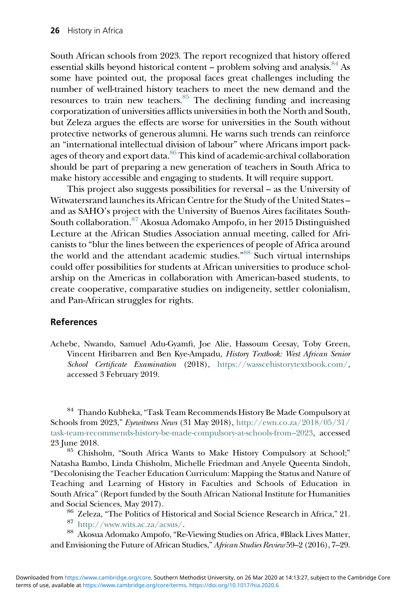South African schools from 2023. The report recognized that history offered essential skills beyond historical content – problem solving and analysis.  $^{84}$  As some have pointed out, the proposal faces great challenges including the number of well-trained history teachers to meet the new demand and the resources to train new teachers.<sup>85</sup> The declining funding and increasing corporatization of universities afflicts universities in both the North and South, but Zeleza argues the effects are worse for universities in the South without protective networks of generous alumni. He warns such trends can reinforce an "international intellectual division of labour" where Africans import pack-ages of theory and export data.<sup>[86](#page-25-2)</sup> This kind of academic-archival collaboration should be part of preparing a new generation of teachers in South Africa to make history accessible and engaging to students. It will require support.

This project also suggests possibilities for reversal – as the University of Witwatersrand launches its African Centre for the Study of the United States – and as SAHO's project with the University of Buenos Aires facilitates South-South collaboration.[87](#page-25-3) Akosua Adomako Ampofo, in her 2015 Distinguished Lecture at the African Studies Association annual meeting, called for Africanists to "blur the lines between the experiences of people of Africa around the world and the attendant academic studies."<sup>[88](#page-25-4)</sup> Such virtual internships could offer possibilities for students at African universities to produce scholarship on the Americas in collaboration with American-based students, to create cooperative, comparative studies on indigeneity, settler colonialism, and Pan-African struggles for rights.

#### References

Achebe, Nwando, Samuel Adu-Gyamfi, Joe Alie, Hassoum Ceesay, Toby Green, Vincent Hiribarren and Ben Kye-Ampadu, History Textbook: West African Senior School Certificate Examination (2018), [https://wasscehistorytextbook.com/,](https://wasscehistorytextbook.com/) accessed 3 February 2019.

<span id="page-25-0"></span><sup>84</sup> Thando Kubheka,"Task Team Recommends History Be Made Compulsory at Schools from 2023," Eyewitness News (31 May 2018), [http://ewn.co.za/2018/05/31/](http://ewn.co.za/2018/05/31/task-team-recommends-history-be-made-compulsory-at-schools-from-2023) [task-team-recommends-history-be-made-compulsory-at-schools-from](http://ewn.co.za/2018/05/31/task-team-recommends-history-be-made-compulsory-at-schools-from-2023)–2023, accessed 23 June 2018. <sup>85</sup> Chisholm, "South Africa Wants to Make History Compulsory at School;"

<span id="page-25-1"></span>Natasha Bambo, Linda Chisholm, Michelle Friedman and Anyele Queenta Sindoh, "Decolonising the Teacher Education Curriculum: Mapping the Status and Nature of Teaching and Learning of History in Faculties and Schools of Education in South Africa" (Report funded by the South African National Institute for Humanities

<span id="page-25-4"></span><span id="page-25-3"></span><span id="page-25-2"></span>% and Social Sciences, May 2017).<br>  $^{86}$  Zeleza, "The Politics of Historical and Social Science Research in Africa," 21.<br>  $^{87}$  [http://www.wits.ac.za/acsus/.](http://www.wits.ac.za/acsus/)<br>  $^{88}$ Akosua Adomako Ampofo, "Re-Viewing Studies on Africa, and Envisioning the Future of African Studies," African Studies Review 59–2 (2016), 7–29.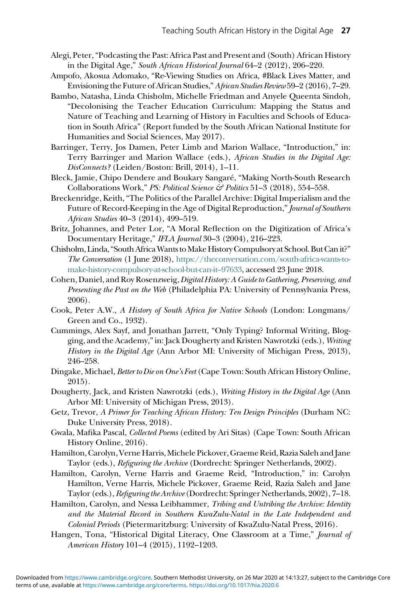- Alegi, Peter,"Podcasting the Past: Africa Past and Present and (South) African History in the Digital Age," South African Historical Journal 64–2 (2012), 206–220.
- Ampofo, Akosua Adomako, "Re-Viewing Studies on Africa, #Black Lives Matter, and Envisioning the Future of African Studies,"African Studies Review59–2 (2016), 7–29.
- Bambo, Natasha, Linda Chisholm, Michelle Friedman and Anyele Queenta Sindoh, "Decolonising the Teacher Education Curriculum: Mapping the Status and Nature of Teaching and Learning of History in Faculties and Schools of Education in South Africa" (Report funded by the South African National Institute for Humanities and Social Sciences, May 2017).
- Barringer, Terry, Jos Damen, Peter Limb and Marion Wallace, "Introduction," in: Terry Barringer and Marion Wallace (eds.), African Studies in the Digital Age: DisConnects? (Leiden/Boston: Brill, 2014), 1–11.
- Bleck, Jamie, Chipo Dendere and Boukary Sangaré, "Making North-South Research Collaborations Work," PS: Political Science & Politics 51-3 (2018), 554-558.
- Breckenridge, Keith,"The Politics of the Parallel Archive: Digital Imperialism and the Future of Record-Keeping in the Age of Digital Reproduction," Journal of Southern African Studies 40–3 (2014), 499–519.
- Britz, Johannes, and Peter Lor, "A Moral Reflection on the Digitization of Africa's Documentary Heritage," IFLA Journal 30–3 (2004), 216–223.
- Chisholm, Linda, "South Africa Wants to Make History Compulsory at School. But Can it?" The Conversation (1 June 2018), [https://theconversation.com/south-africa-wants-to](https://theconversation.com/south-africa-wants-to-make-history-compulsory-at-school-but-can-it-97633)[make-history-compulsory-at-school-but-can-it](https://theconversation.com/south-africa-wants-to-make-history-compulsory-at-school-but-can-it-97633)–97633, accessed 23 June 2018.
- Cohen, Daniel, and Roy Rosenzweig, Digital History: A Guide to Gathering, Preserving, and Presenting the Past on the Web (Philadelphia PA: University of Pennsylvania Press, 2006).
- Cook, Peter A.W., A History of South Africa for Native Schools (London: Longmans/ Green and Co., 1932).
- Cummings, Alex Sayf, and Jonathan Jarrett, "Only Typing? Informal Writing, Blogging, and the Academy,"in: Jack Dougherty and Kristen Nawrotzki (eds.), Writing History in the Digital Age (Ann Arbor MI: University of Michigan Press, 2013), 246–258.
- Dingake, Michael, Better to Die on One's Feet (Cape Town: South African History Online, 2015).
- Dougherty, Jack, and Kristen Nawrotzki (eds.), Writing History in the Digital Age (Ann Arbor MI: University of Michigan Press, 2013).
- Getz, Trevor, A Primer for Teaching African History: Ten Design Principles (Durham NC: Duke University Press, 2018).
- Gwala, Mafika Pascal, Collected Poems (edited by Ari Sitas) (Cape Town: South African History Online, 2016).
- Hamilton, Carolyn, Verne Harris, Michele Pickover, Graeme Reid, Razia Saleh and Jane Taylor (eds.), Refiguring the Archive (Dordrecht: Springer Netherlands, 2002).
- Hamilton, Carolyn, Verne Harris and Graeme Reid, "Introduction," in: Carolyn Hamilton, Verne Harris, Michele Pickover, Graeme Reid, Razia Saleh and Jane Taylor (eds.), Refiguring the Archive (Dordrecht: Springer Netherlands, 2002), 7–18.
- Hamilton, Carolyn, and Nessa Leibhammer, Tribing and Untribing the Archive: Identity and the Material Record in Southern KwaZulu-Natal in the Late Independent and Colonial Periods (Pietermaritzburg: University of KwaZulu-Natal Press, 2016).
- Hangen, Tona, "Historical Digital Literacy, One Classroom at a Time," Journal of American History 101–4 (2015), 1192–1203.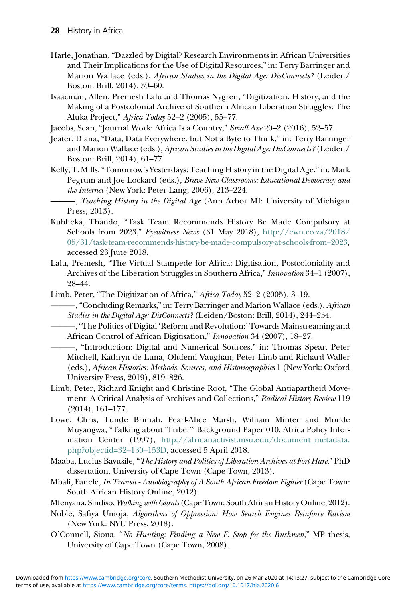- Harle, Jonathan, "Dazzled by Digital? Research Environments in African Universities and Their Implications for the Use of Digital Resources,"in: Terry Barringer and Marion Wallace (eds.), African Studies in the Digital Age: DisConnects? (Leiden/ Boston: Brill, 2014), 39–60.
- Isaacman, Allen, Premesh Lalu and Thomas Nygren, "Digitization, History, and the Making of a Postcolonial Archive of Southern African Liberation Struggles: The Aluka Project," Africa Today 52–2 (2005), 55–77.

Jacobs, Sean, "Journal Work: Africa Is a Country," Small Axe 20–2 (2016), 52–57.

- Jeater, Diana, "Data, Data Everywhere, but Not a Byte to Think," in: Terry Barringer and Marion Wallace (eds.), African Studies in the Digital Age: DisConnects? (Leiden/ Boston: Brill, 2014), 61–77.
- Kelly, T. Mills,"Tomorrow's Yesterdays: Teaching History in the Digital Age,"in: Mark Pegrum and Joe Lockard (eds.), Brave New Classrooms: Educational Democracy and the Internet (New York: Peter Lang, 2006), 213–224.
- $-$ , Teaching History in the Digital Age (Ann Arbor MI: University of Michigan Press, 2013).
- Kubheka, Thando, "Task Team Recommends History Be Made Compulsory at Schools from 2023," Eyewitness News (31 May 2018), [http://ewn.co.za/2018/](http://ewn.co.za/2018/05/31/task-team-recommends-history-be-made-compulsory-at-schools-from-2023) [05/31/task-team-recommends-history-be-made-compulsory-at-schools-from](http://ewn.co.za/2018/05/31/task-team-recommends-history-be-made-compulsory-at-schools-from-2023)–2023, accessed 23 June 2018.
- Lalu, Premesh, "The Virtual Stampede for Africa: Digitisation, Postcoloniality and Archives of the Liberation Struggles in Southern Africa," Innovation 34–1 (2007), 28–44.
- Limb, Peter, "The Digitization of Africa," Africa Today 52–2 (2005), 3–19.
- -, "Concluding Remarks," in: Terry Barringer and Marion Wallace (eds.), African Studies in the Digital Age: DisConnects? (Leiden/Boston: Brill, 2014), 244–254.
- ———,"The Politics of Digital 'Reform and Revolution:'Towards Mainstreaming and African Control of African Digitisation," Innovation 34 (2007), 18–27.
- ———, "Introduction: Digital and Numerical Sources," in: Thomas Spear, Peter Mitchell, Kathryn de Luna, Olufemi Vaughan, Peter Limb and Richard Waller (eds.), African Histories: Methods, Sources, and Historiographies 1 (New York: Oxford University Press, 2019), 819–826.
- Limb, Peter, Richard Knight and Christine Root, "The Global Antiapartheid Movement: A Critical Analysis of Archives and Collections," Radical History Review 119 (2014), 161–177.
- Lowe, Chris, Tunde Brimah, Pearl-Alice Marsh, William Minter and Monde Muyangwa, "Talking about 'Tribe,'" Background Paper 010, Africa Policy Information Center (1997), [http://africanactivist.msu.edu/document\\_metadata.](http://africanactivist.msu.edu/document_metadata.php?objectid=32-130-153D) [php?objectid=32](http://africanactivist.msu.edu/document_metadata.php?objectid=32-130-153D)–130–153D, accessed 5 April 2018.
- Maaba, Lucius Bavusile, "The History and Politics of Liberation Archives at Fort Hare," PhD dissertation, University of Cape Town (Cape Town, 2013).
- Mbali, Fanele, In Transit Autobiography of A South African Freedom Fighter (Cape Town: South African History Online, 2012).
- Mfenyana, Sindiso, *Walking with Giants* (Cape Town: South African History Online, 2012).
- Noble, Safiya Umoja, Algorithms of Oppression: How Search Engines Reinforce Racism (New York: NYU Press, 2018).
- O'Connell, Siona, "No Hunting: Finding a New F. Stop for the Bushmen," MP thesis, University of Cape Town (Cape Town, 2008).